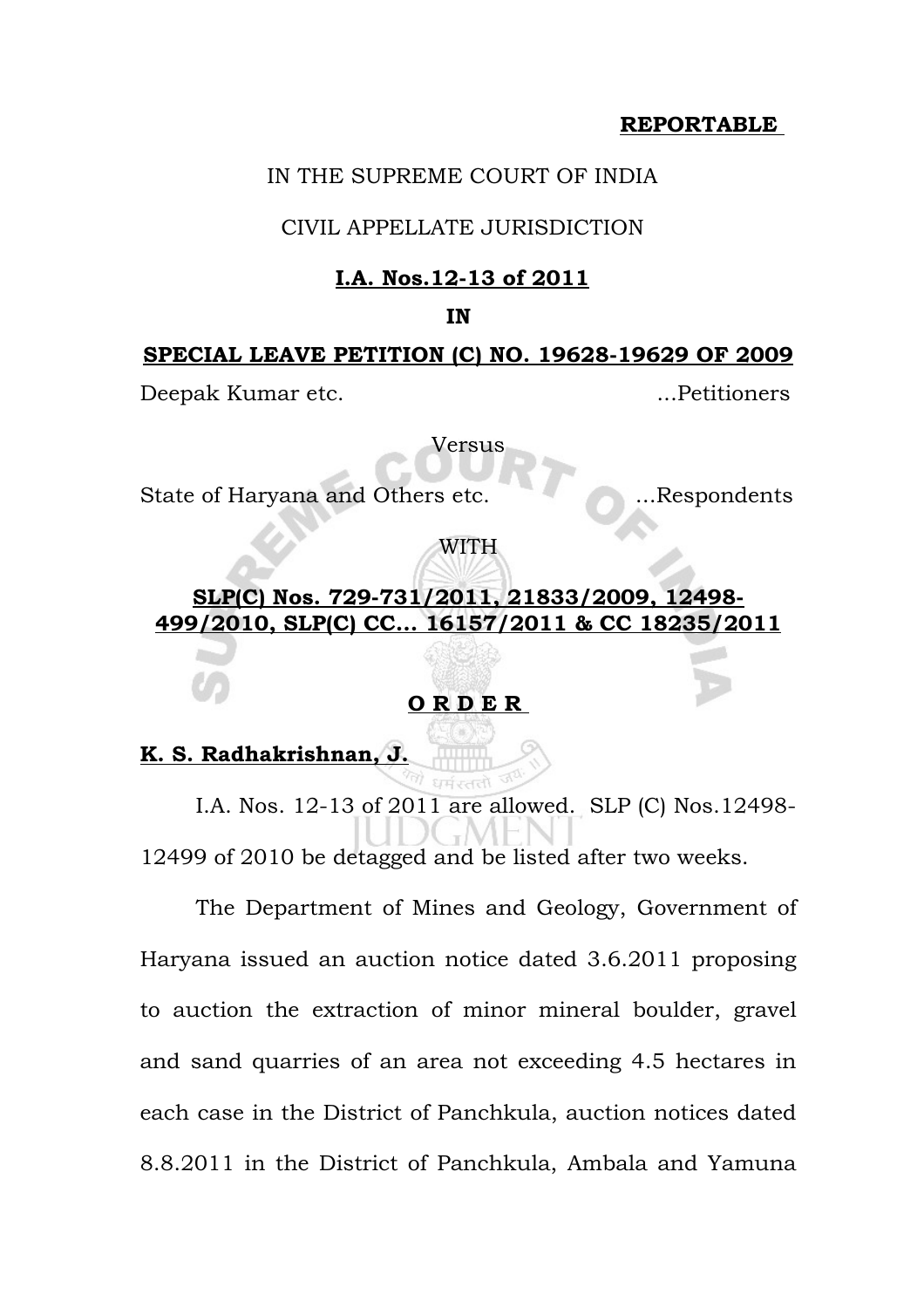# **REPORTABLE**

### IN THE SUPREME COURT OF INDIA

### CIVIL APPELLATE JURISDICTION

### **I.A. Nos.12-13 of 2011**

#### **IN**

#### **SPECIAL LEAVE PETITION (C) NO. 19628-19629 OF 2009**

Deepak Kumar etc. ...Petitioners

Versus

State of Haryana and Others etc. ...Respondents

WITH

# **SLP(C) Nos. 729-731/2011, 21833/2009, 12498- 499/2010, SLP(C) CC... 16157/2011 & CC 18235/2011**

# **O R D E R**

### **K. S. Radhakrishnan, J.**

I.A. Nos. 12-13 of 2011 are allowed. SLP (C) Nos.12498- 12499 of 2010 be detagged and be listed after two weeks.

The Department of Mines and Geology, Government of Haryana issued an auction notice dated 3.6.2011 proposing to auction the extraction of minor mineral boulder, gravel and sand quarries of an area not exceeding 4.5 hectares in each case in the District of Panchkula, auction notices dated 8.8.2011 in the District of Panchkula, Ambala and Yamuna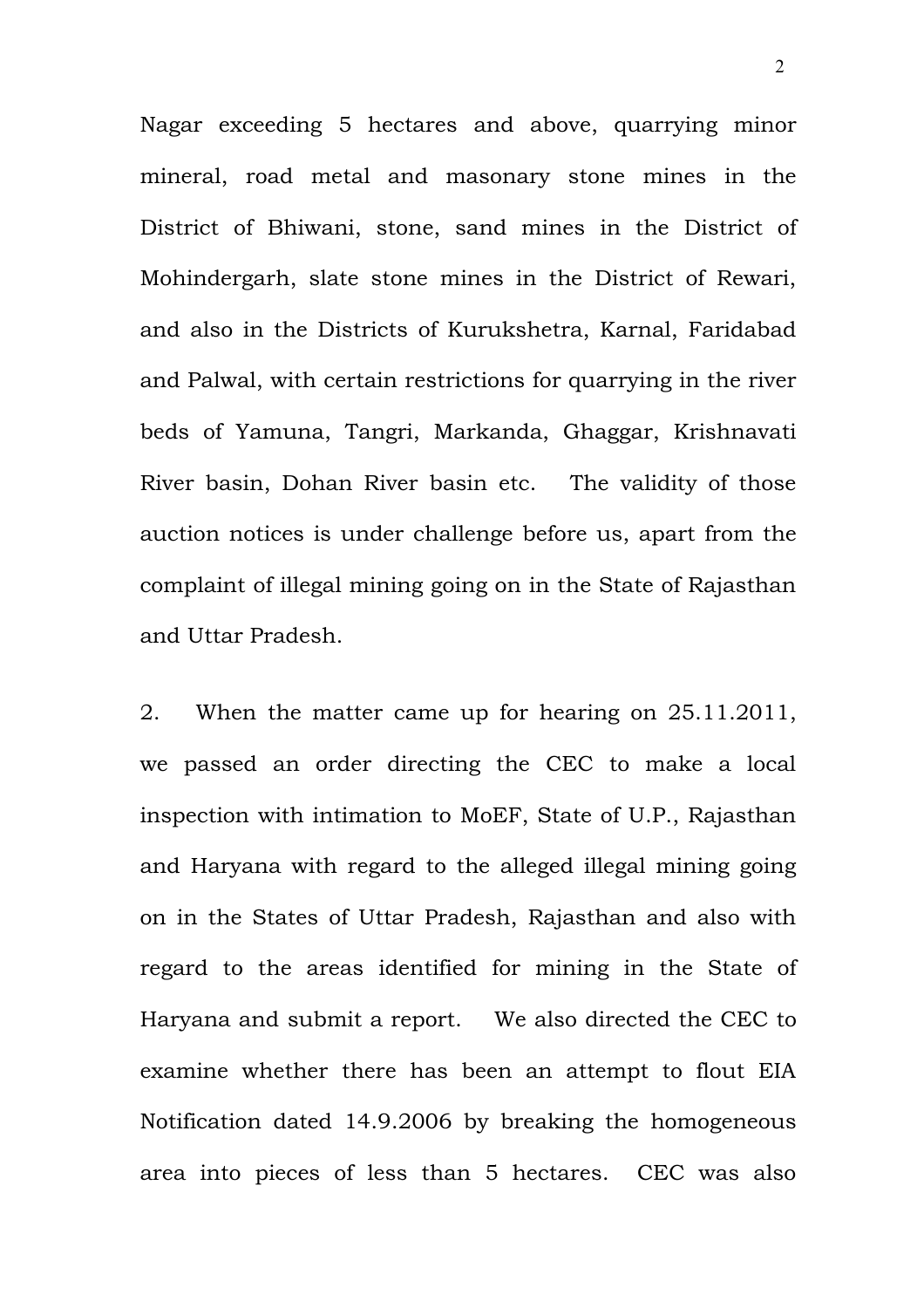Nagar exceeding 5 hectares and above, quarrying minor mineral, road metal and masonary stone mines in the District of Bhiwani, stone, sand mines in the District of Mohindergarh, slate stone mines in the District of Rewari, and also in the Districts of Kurukshetra, Karnal, Faridabad and Palwal, with certain restrictions for quarrying in the river beds of Yamuna, Tangri, Markanda, Ghaggar, Krishnavati River basin, Dohan River basin etc. The validity of those auction notices is under challenge before us, apart from the complaint of illegal mining going on in the State of Rajasthan and Uttar Pradesh.

2. When the matter came up for hearing on 25.11.2011, we passed an order directing the CEC to make a local inspection with intimation to MoEF, State of U.P., Rajasthan and Haryana with regard to the alleged illegal mining going on in the States of Uttar Pradesh, Rajasthan and also with regard to the areas identified for mining in the State of Haryana and submit a report. We also directed the CEC to examine whether there has been an attempt to flout EIA Notification dated 14.9.2006 by breaking the homogeneous area into pieces of less than 5 hectares. CEC was also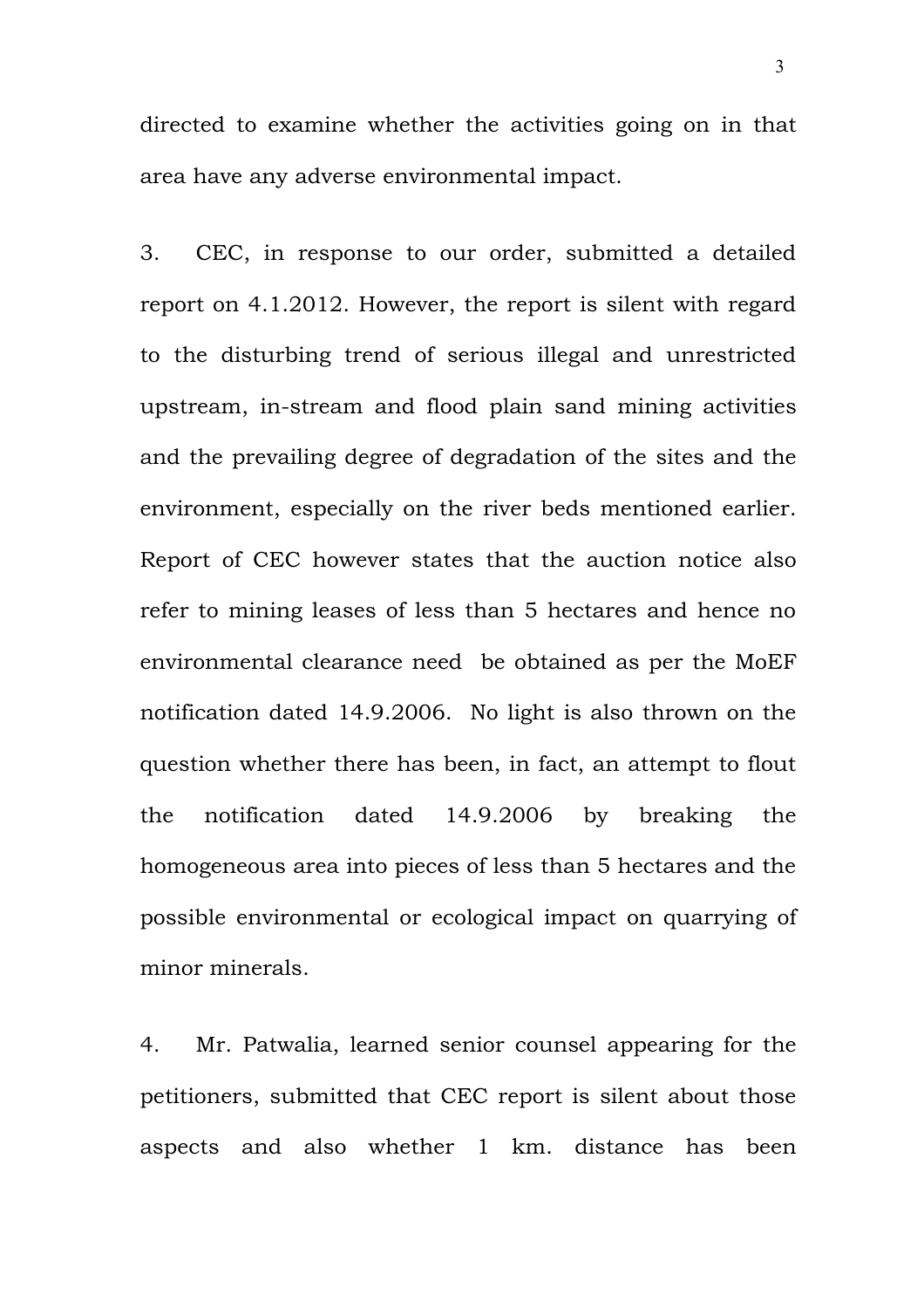directed to examine whether the activities going on in that area have any adverse environmental impact.

3. CEC, in response to our order, submitted a detailed report on 4.1.2012. However, the report is silent with regard to the disturbing trend of serious illegal and unrestricted upstream, in-stream and flood plain sand mining activities and the prevailing degree of degradation of the sites and the environment, especially on the river beds mentioned earlier. Report of CEC however states that the auction notice also refer to mining leases of less than 5 hectares and hence no environmental clearance need be obtained as per the MoEF notification dated 14.9.2006. No light is also thrown on the question whether there has been, in fact, an attempt to flout the notification dated 14.9.2006 by breaking the homogeneous area into pieces of less than 5 hectares and the possible environmental or ecological impact on quarrying of minor minerals.

4. Mr. Patwalia, learned senior counsel appearing for the petitioners, submitted that CEC report is silent about those aspects and also whether 1 km. distance has been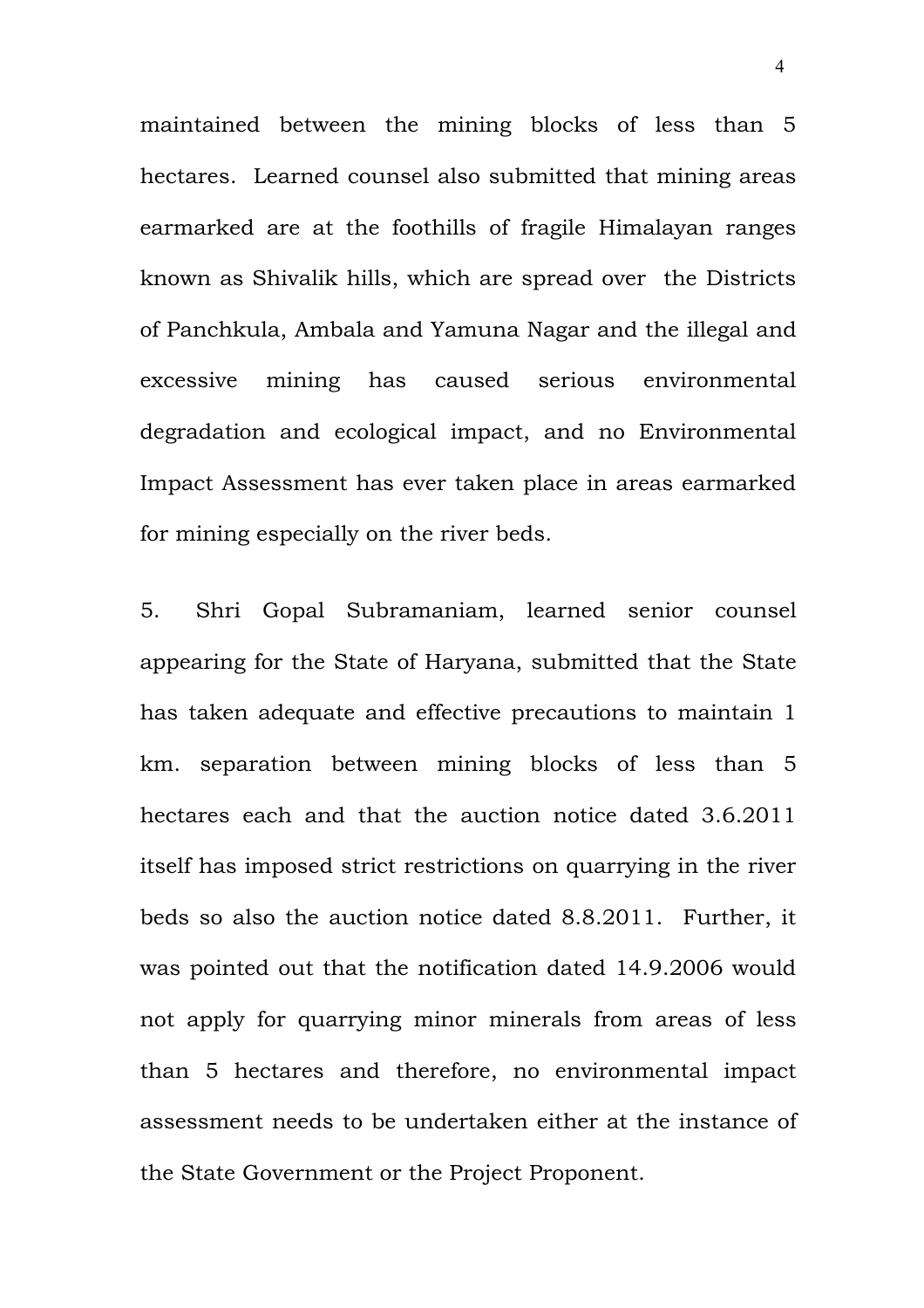maintained between the mining blocks of less than 5 hectares. Learned counsel also submitted that mining areas earmarked are at the foothills of fragile Himalayan ranges known as Shivalik hills, which are spread over the Districts of Panchkula, Ambala and Yamuna Nagar and the illegal and excessive mining has caused serious environmental degradation and ecological impact, and no Environmental Impact Assessment has ever taken place in areas earmarked for mining especially on the river beds.

5. Shri Gopal Subramaniam, learned senior counsel appearing for the State of Haryana, submitted that the State has taken adequate and effective precautions to maintain 1 km. separation between mining blocks of less than 5 hectares each and that the auction notice dated 3.6.2011 itself has imposed strict restrictions on quarrying in the river beds so also the auction notice dated 8.8.2011. Further, it was pointed out that the notification dated 14.9.2006 would not apply for quarrying minor minerals from areas of less than 5 hectares and therefore, no environmental impact assessment needs to be undertaken either at the instance of the State Government or the Project Proponent.

4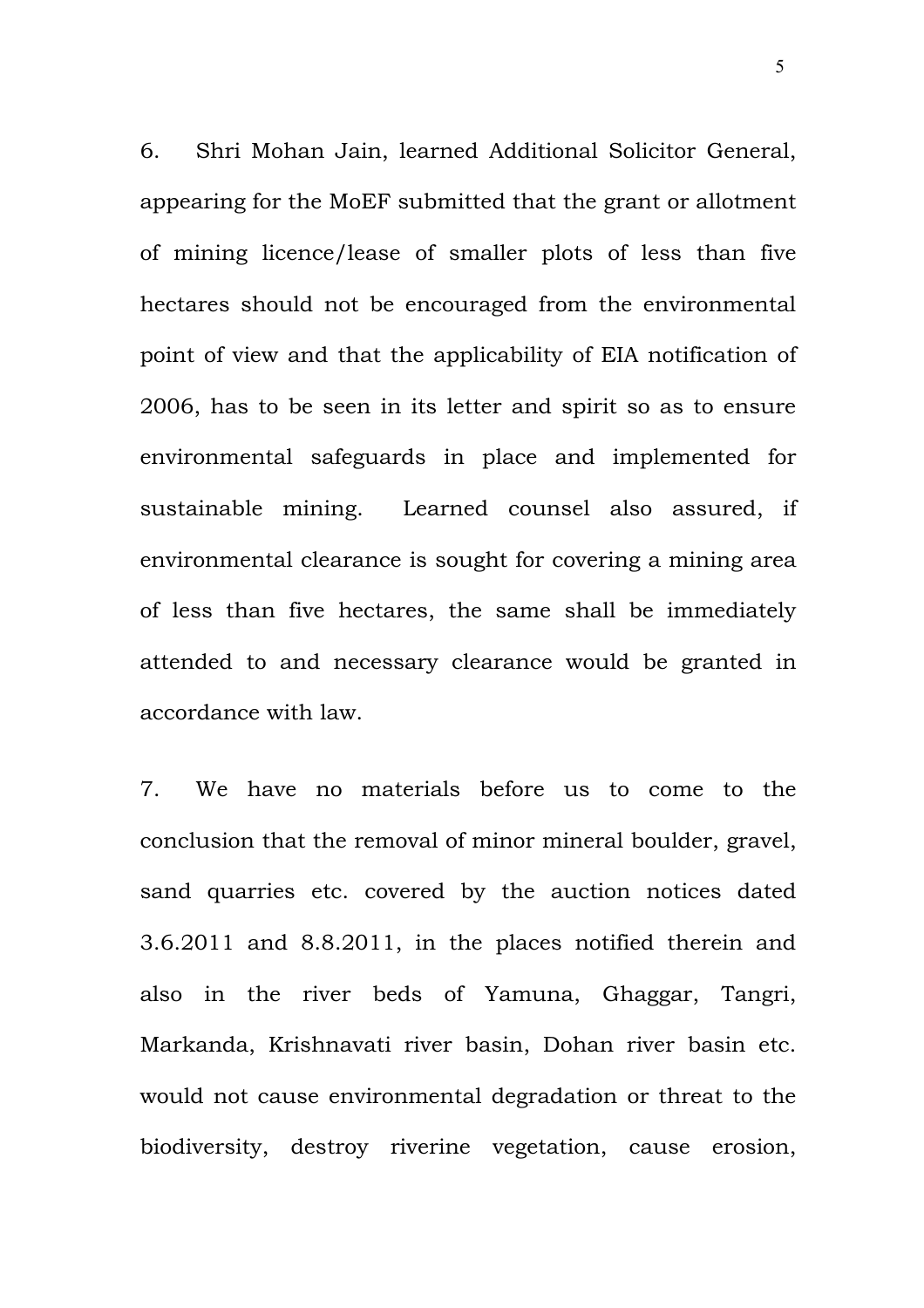6. Shri Mohan Jain, learned Additional Solicitor General, appearing for the MoEF submitted that the grant or allotment of mining licence/lease of smaller plots of less than five hectares should not be encouraged from the environmental point of view and that the applicability of EIA notification of 2006, has to be seen in its letter and spirit so as to ensure environmental safeguards in place and implemented for sustainable mining. Learned counsel also assured, if environmental clearance is sought for covering a mining area of less than five hectares, the same shall be immediately attended to and necessary clearance would be granted in accordance with law.

7. We have no materials before us to come to the conclusion that the removal of minor mineral boulder, gravel, sand quarries etc. covered by the auction notices dated 3.6.2011 and 8.8.2011, in the places notified therein and also in the river beds of Yamuna, Ghaggar, Tangri, Markanda, Krishnavati river basin, Dohan river basin etc. would not cause environmental degradation or threat to the biodiversity, destroy riverine vegetation, cause erosion,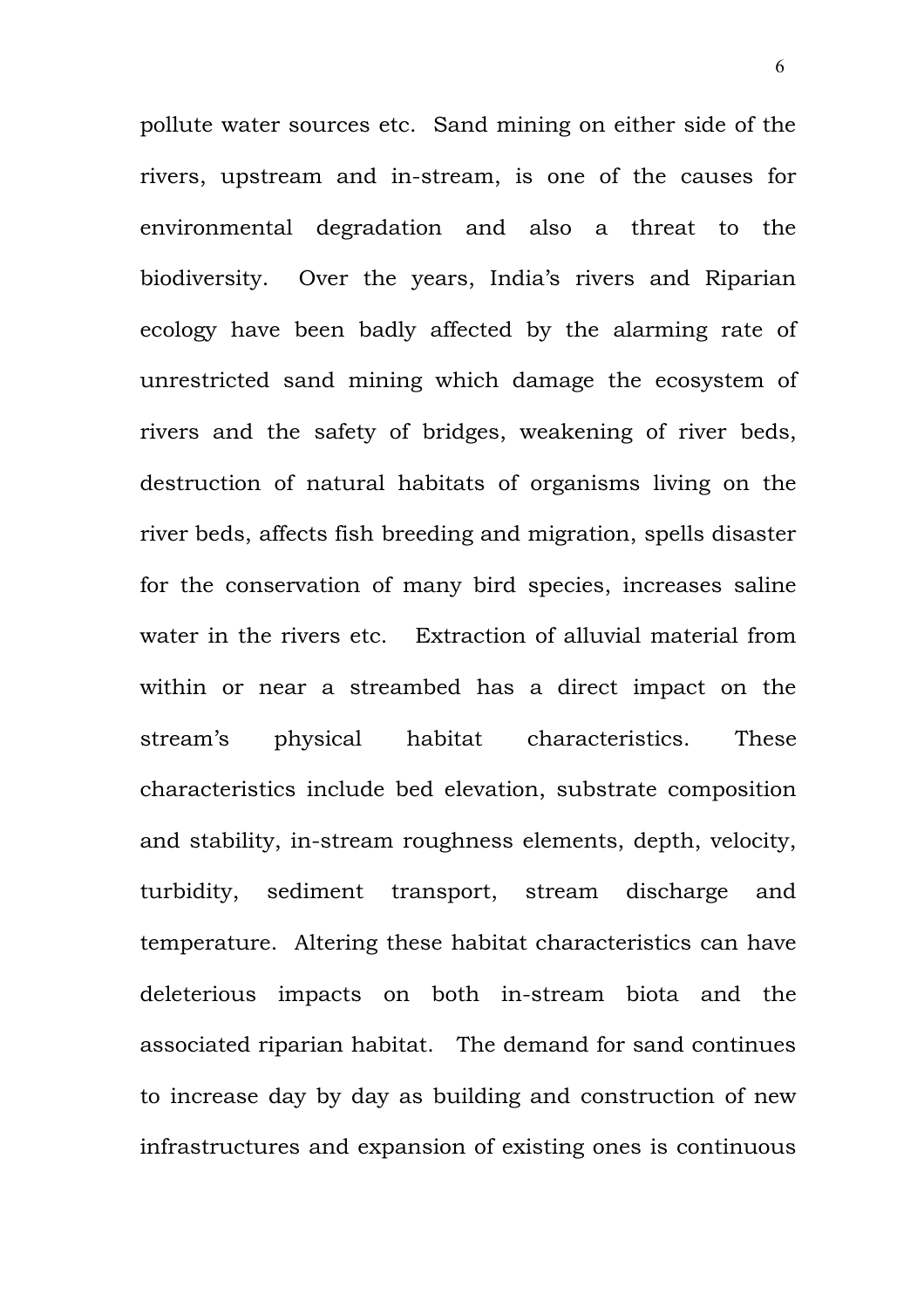pollute water sources etc. Sand mining on either side of the rivers, upstream and in-stream, is one of the causes for environmental degradation and also a threat to the biodiversity. Over the years, India's rivers and Riparian ecology have been badly affected by the alarming rate of unrestricted sand mining which damage the ecosystem of rivers and the safety of bridges, weakening of river beds, destruction of natural habitats of organisms living on the river beds, affects fish breeding and migration, spells disaster for the conservation of many bird species, increases saline water in the rivers etc. Extraction of alluvial material from within or near a streambed has a direct impact on the stream's physical habitat characteristics. These characteristics include bed elevation, substrate composition and stability, in-stream roughness elements, depth, velocity, turbidity, sediment transport, stream discharge and temperature. Altering these habitat characteristics can have deleterious impacts on both in-stream biota and the associated riparian habitat. The demand for sand continues to increase day by day as building and construction of new infrastructures and expansion of existing ones is continuous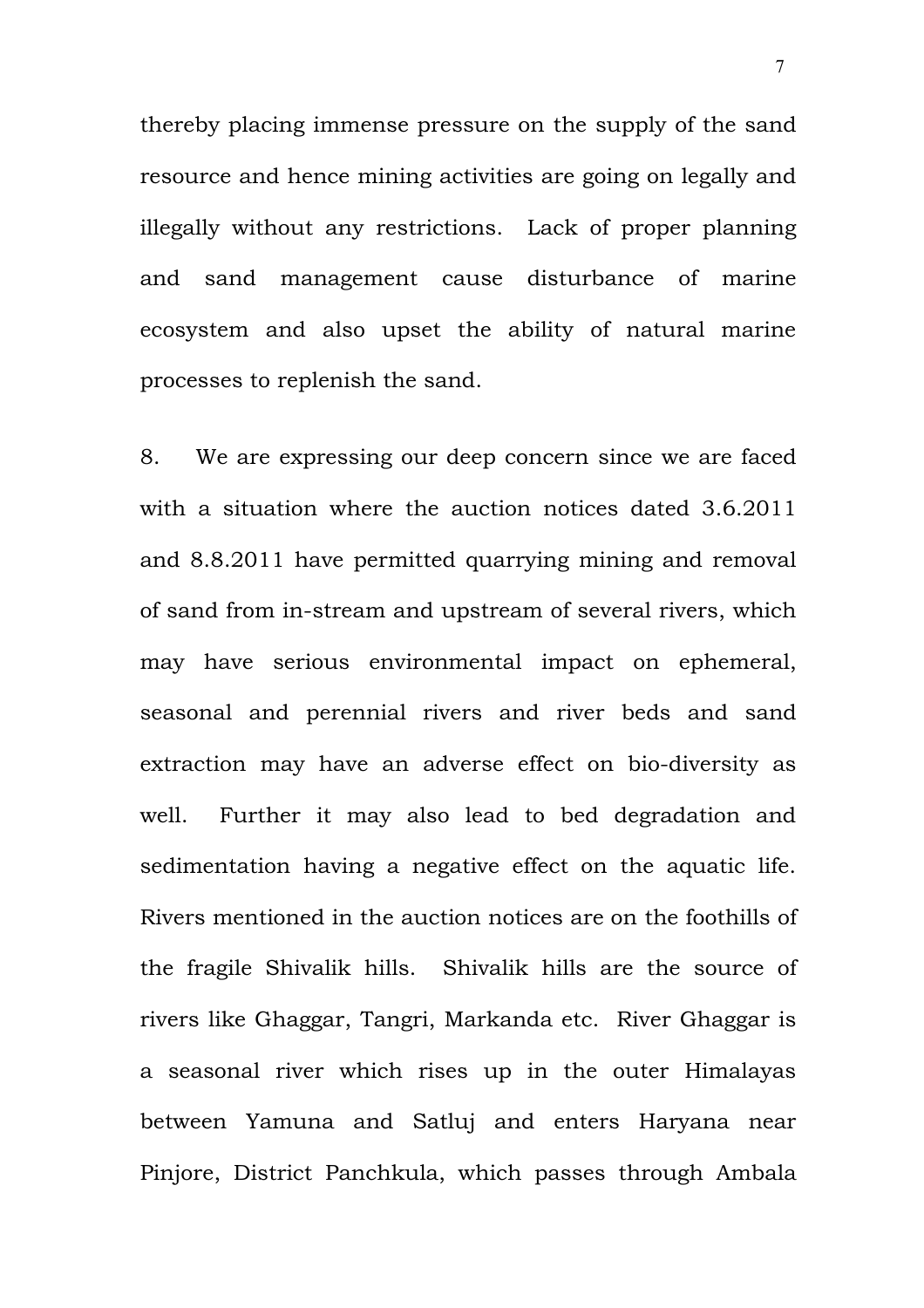thereby placing immense pressure on the supply of the sand resource and hence mining activities are going on legally and illegally without any restrictions. Lack of proper planning and sand management cause disturbance of marine ecosystem and also upset the ability of natural marine processes to replenish the sand.

8. We are expressing our deep concern since we are faced with a situation where the auction notices dated 3.6.2011 and 8.8.2011 have permitted quarrying mining and removal of sand from in-stream and upstream of several rivers, which may have serious environmental impact on ephemeral, seasonal and perennial rivers and river beds and sand extraction may have an adverse effect on bio-diversity as well. Further it may also lead to bed degradation and sedimentation having a negative effect on the aquatic life. Rivers mentioned in the auction notices are on the foothills of the fragile Shivalik hills. Shivalik hills are the source of rivers like Ghaggar, Tangri, Markanda etc. River Ghaggar is a seasonal river which rises up in the outer Himalayas between Yamuna and Satluj and enters Haryana near Pinjore, District Panchkula, which passes through Ambala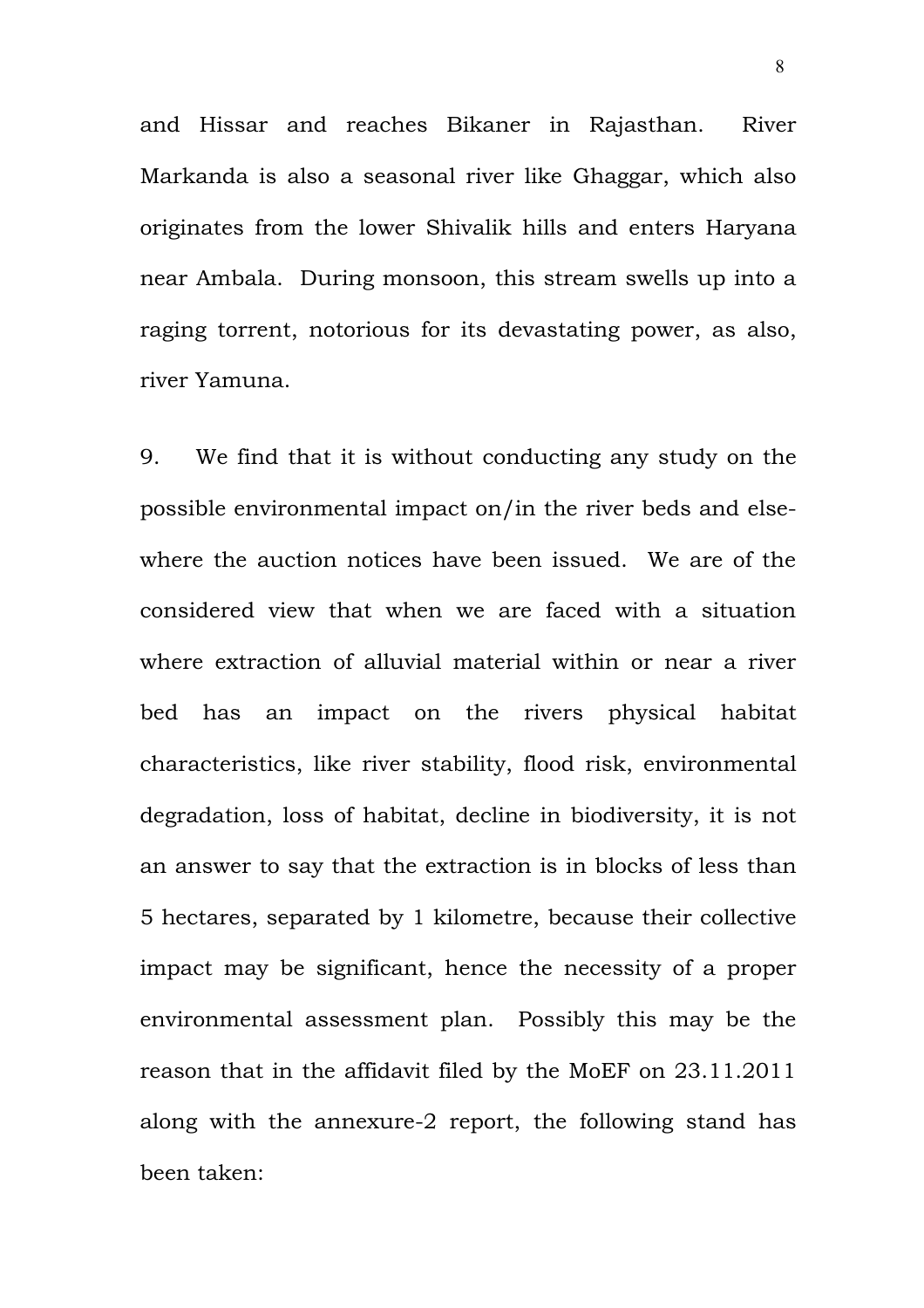and Hissar and reaches Bikaner in Rajasthan. River Markanda is also a seasonal river like Ghaggar, which also originates from the lower Shivalik hills and enters Haryana near Ambala. During monsoon, this stream swells up into a raging torrent, notorious for its devastating power, as also, river Yamuna.

9. We find that it is without conducting any study on the possible environmental impact on/in the river beds and elsewhere the auction notices have been issued. We are of the considered view that when we are faced with a situation where extraction of alluvial material within or near a river bed has an impact on the rivers physical habitat characteristics, like river stability, flood risk, environmental degradation, loss of habitat, decline in biodiversity, it is not an answer to say that the extraction is in blocks of less than 5 hectares, separated by 1 kilometre, because their collective impact may be significant, hence the necessity of a proper environmental assessment plan. Possibly this may be the reason that in the affidavit filed by the MoEF on 23.11.2011 along with the annexure-2 report, the following stand has been taken: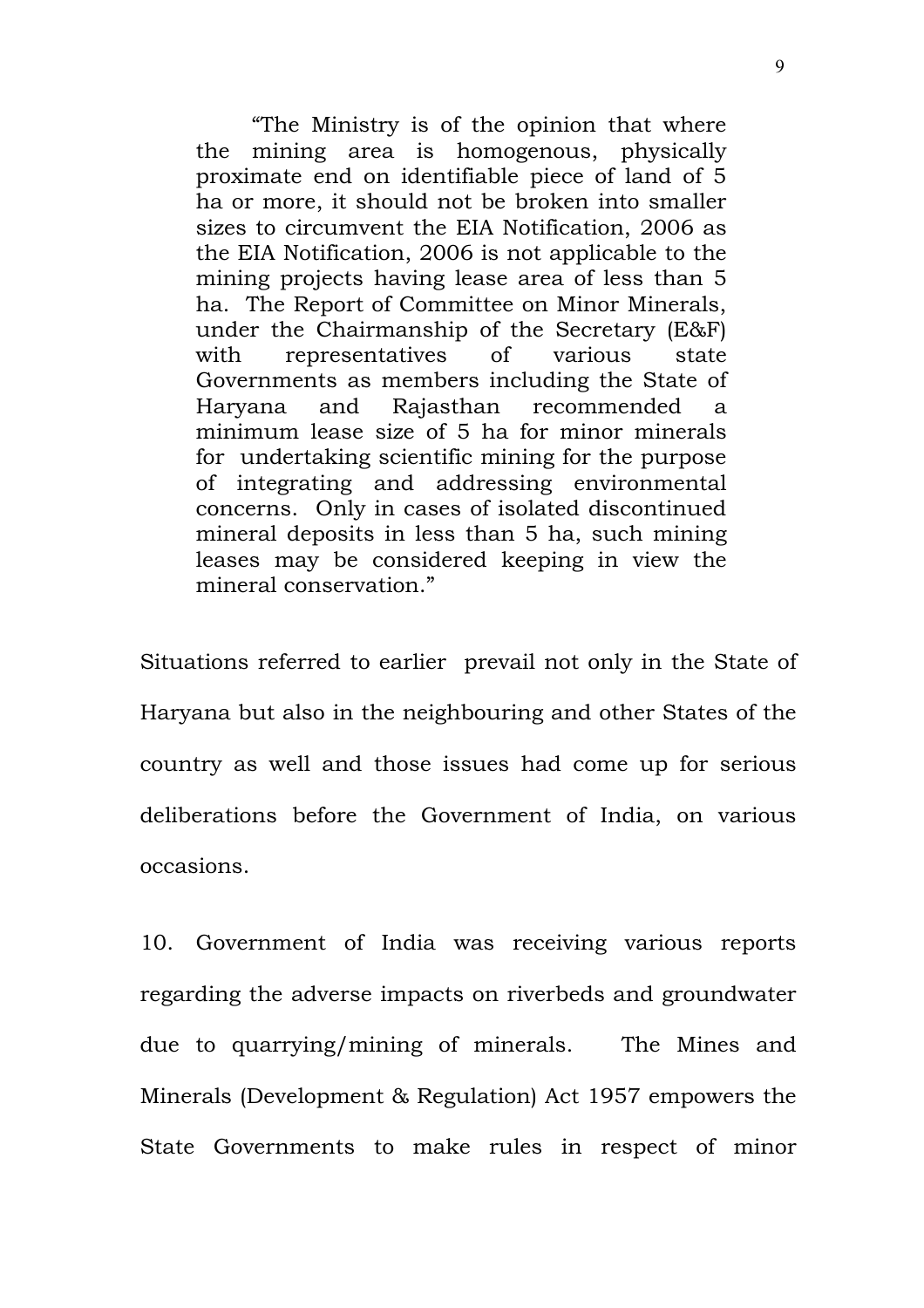"The Ministry is of the opinion that where the mining area is homogenous, physically proximate end on identifiable piece of land of 5 ha or more, it should not be broken into smaller sizes to circumvent the EIA Notification, 2006 as the EIA Notification, 2006 is not applicable to the mining projects having lease area of less than 5 ha. The Report of Committee on Minor Minerals, under the Chairmanship of the Secretary (E&F) with representatives of various state Governments as members including the State of Haryana and Rajasthan recommended a minimum lease size of 5 ha for minor minerals for undertaking scientific mining for the purpose of integrating and addressing environmental concerns. Only in cases of isolated discontinued mineral deposits in less than 5 ha, such mining leases may be considered keeping in view the mineral conservation."

Situations referred to earlier prevail not only in the State of Haryana but also in the neighbouring and other States of the country as well and those issues had come up for serious deliberations before the Government of India, on various occasions.

10. Government of India was receiving various reports regarding the adverse impacts on riverbeds and groundwater due to quarrying/mining of minerals. The Mines and Minerals (Development & Regulation) Act 1957 empowers the State Governments to make rules in respect of minor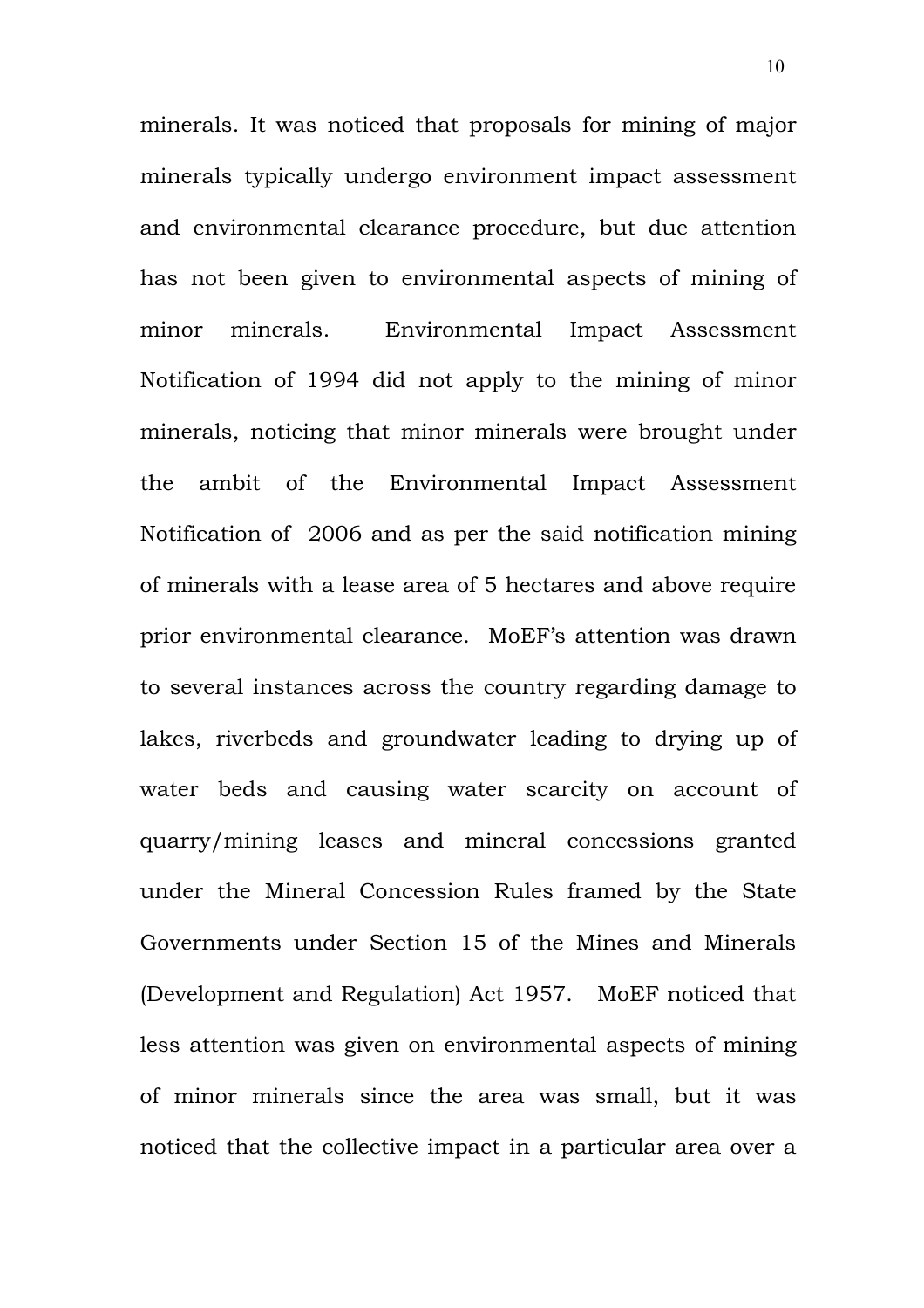minerals. It was noticed that proposals for mining of major minerals typically undergo environment impact assessment and environmental clearance procedure, but due attention has not been given to environmental aspects of mining of minor minerals. Environmental Impact Assessment Notification of 1994 did not apply to the mining of minor minerals, noticing that minor minerals were brought under the ambit of the Environmental Impact Assessment Notification of 2006 and as per the said notification mining of minerals with a lease area of 5 hectares and above require prior environmental clearance. MoEF's attention was drawn to several instances across the country regarding damage to lakes, riverbeds and groundwater leading to drying up of water beds and causing water scarcity on account of quarry/mining leases and mineral concessions granted under the Mineral Concession Rules framed by the State Governments under Section 15 of the Mines and Minerals (Development and Regulation) Act 1957. MoEF noticed that less attention was given on environmental aspects of mining of minor minerals since the area was small, but it was noticed that the collective impact in a particular area over a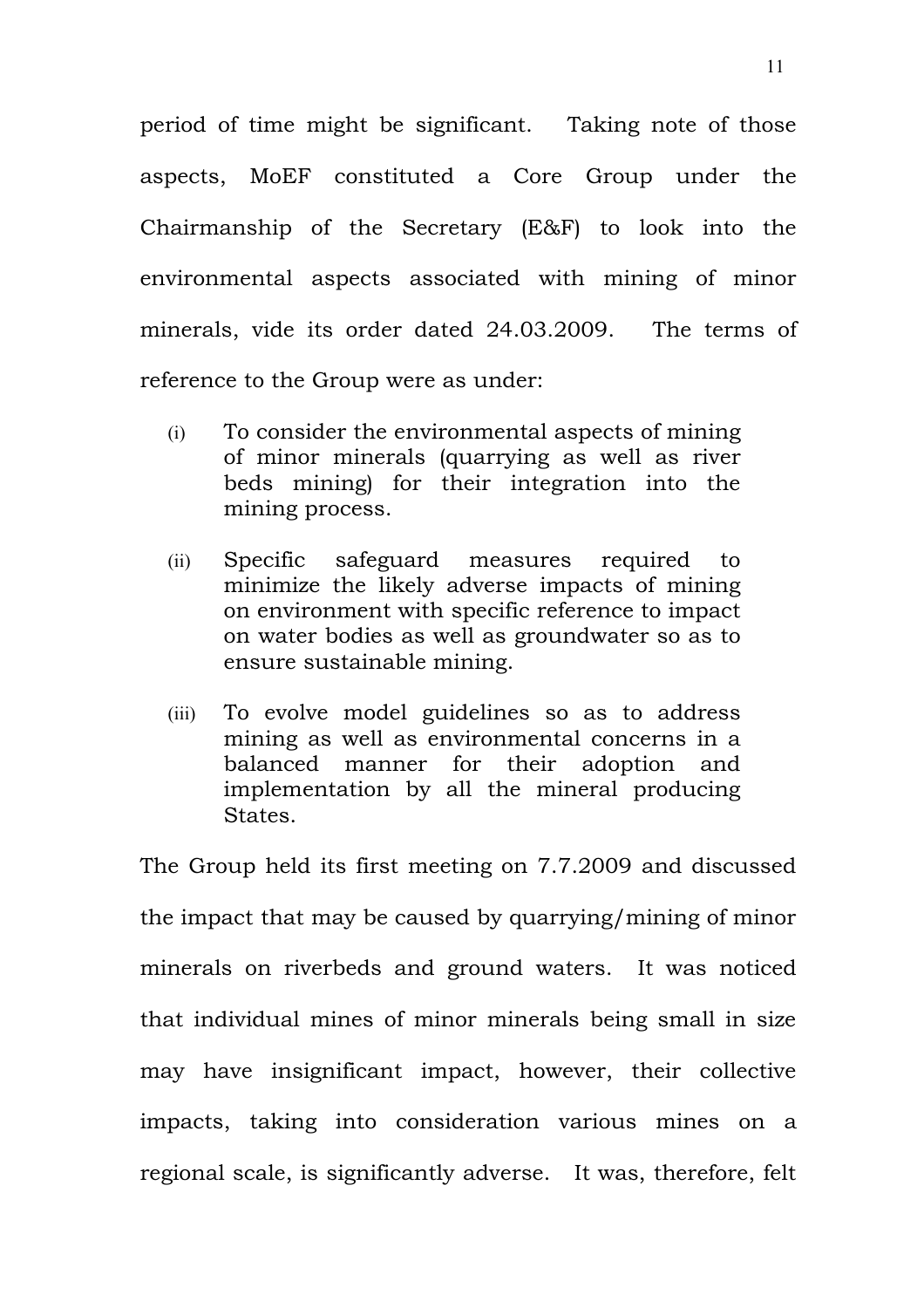period of time might be significant. Taking note of those aspects, MoEF constituted a Core Group under the Chairmanship of the Secretary (E&F) to look into the environmental aspects associated with mining of minor minerals, vide its order dated 24.03.2009. The terms of reference to the Group were as under:

- (i) To consider the environmental aspects of mining of minor minerals (quarrying as well as river beds mining) for their integration into the mining process.
- (ii) Specific safeguard measures required to minimize the likely adverse impacts of mining on environment with specific reference to impact on water bodies as well as groundwater so as to ensure sustainable mining.
- (iii) To evolve model guidelines so as to address mining as well as environmental concerns in a balanced manner for their adoption and implementation by all the mineral producing States.

The Group held its first meeting on 7.7.2009 and discussed the impact that may be caused by quarrying/mining of minor minerals on riverbeds and ground waters. It was noticed that individual mines of minor minerals being small in size may have insignificant impact, however, their collective impacts, taking into consideration various mines on a regional scale, is significantly adverse. It was, therefore, felt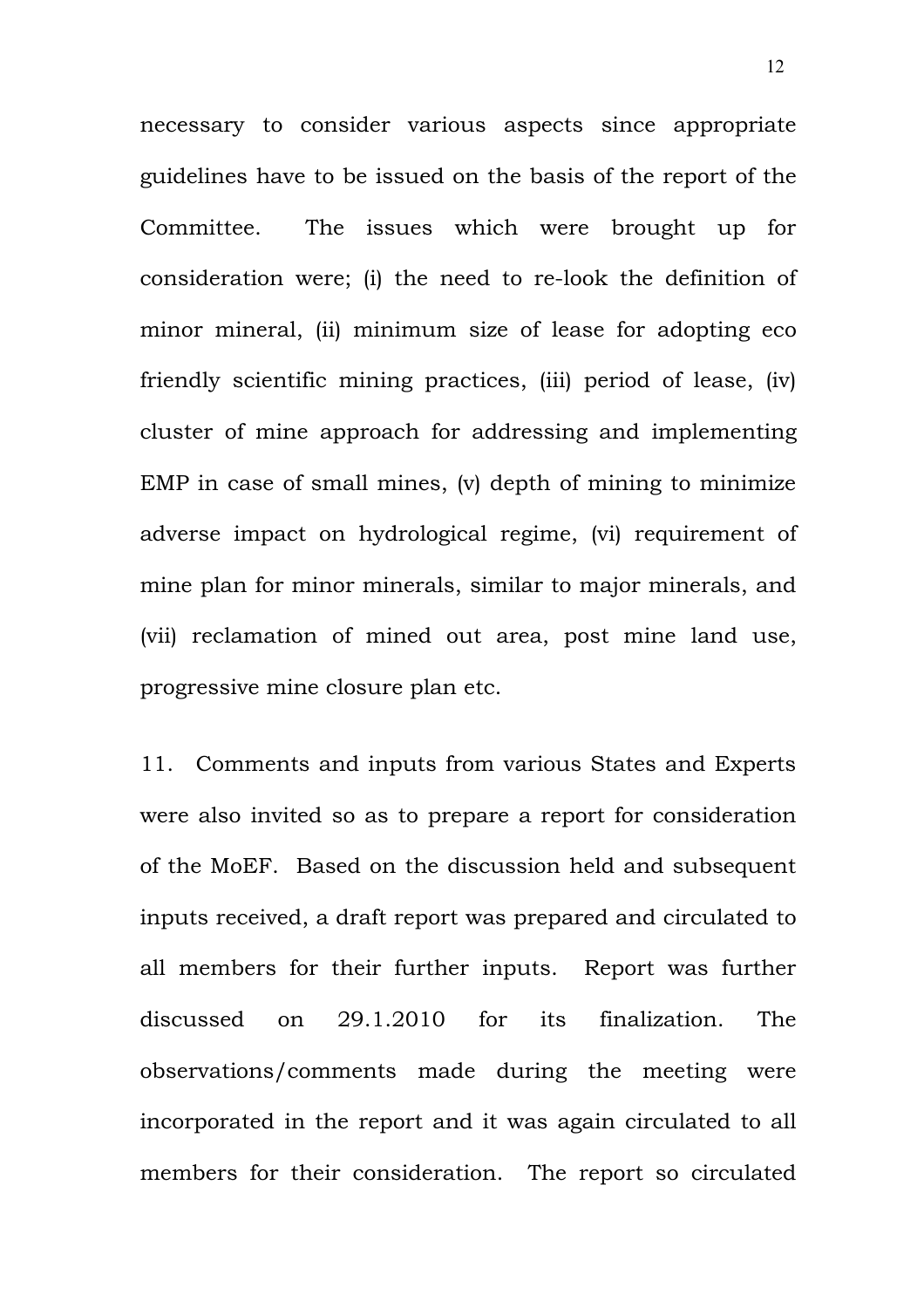necessary to consider various aspects since appropriate guidelines have to be issued on the basis of the report of the Committee. The issues which were brought up for consideration were; (i) the need to re-look the definition of minor mineral, (ii) minimum size of lease for adopting eco friendly scientific mining practices, (iii) period of lease, (iv) cluster of mine approach for addressing and implementing EMP in case of small mines, (v) depth of mining to minimize adverse impact on hydrological regime, (vi) requirement of mine plan for minor minerals, similar to major minerals, and (vii) reclamation of mined out area, post mine land use, progressive mine closure plan etc.

11. Comments and inputs from various States and Experts were also invited so as to prepare a report for consideration of the MoEF. Based on the discussion held and subsequent inputs received, a draft report was prepared and circulated to all members for their further inputs. Report was further discussed on 29.1.2010 for its finalization. The observations/comments made during the meeting were incorporated in the report and it was again circulated to all members for their consideration. The report so circulated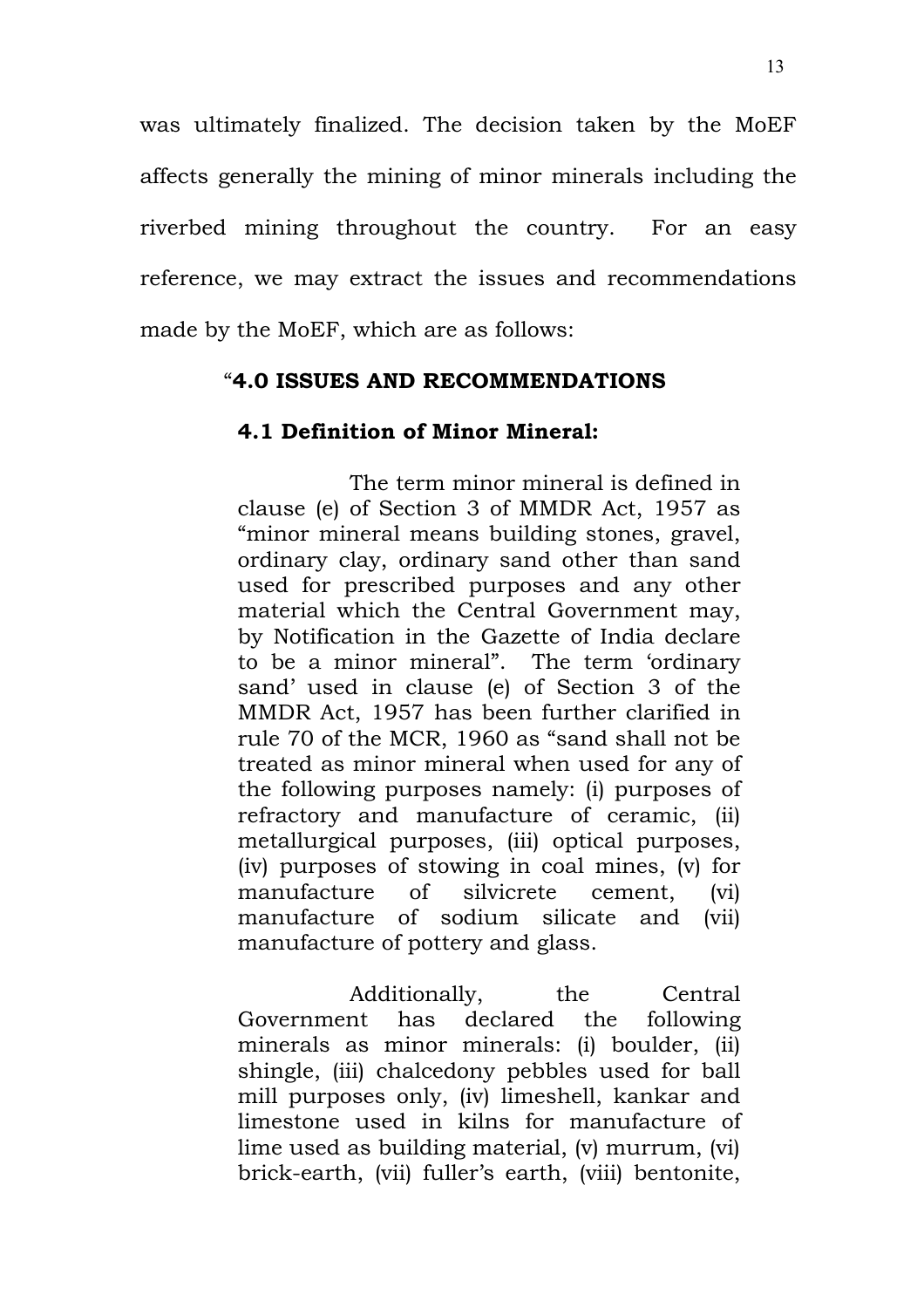was ultimately finalized. The decision taken by the MoEF affects generally the mining of minor minerals including the riverbed mining throughout the country. For an easy reference, we may extract the issues and recommendations made by the MoEF, which are as follows:

#### "**4.0 ISSUES AND RECOMMENDATIONS**

#### **4.1 Definition of Minor Mineral:**

The term minor mineral is defined in clause (e) of Section 3 of MMDR Act, 1957 as "minor mineral means building stones, gravel, ordinary clay, ordinary sand other than sand used for prescribed purposes and any other material which the Central Government may, by Notification in the Gazette of India declare to be a minor mineral". The term 'ordinary sand' used in clause (e) of Section 3 of the MMDR Act, 1957 has been further clarified in rule 70 of the MCR, 1960 as "sand shall not be treated as minor mineral when used for any of the following purposes namely: (i) purposes of refractory and manufacture of ceramic, (ii) metallurgical purposes, (iii) optical purposes, (iv) purposes of stowing in coal mines, (v) for manufacture of silvicrete cement, (vi) manufacture of sodium silicate and (vii) manufacture of pottery and glass.

Additionally, the Central Government has declared the following minerals as minor minerals: (i) boulder, (ii) shingle, (iii) chalcedony pebbles used for ball mill purposes only, (iv) limeshell, kankar and limestone used in kilns for manufacture of lime used as building material, (v) murrum, (vi) brick-earth, (vii) fuller's earth, (viii) bentonite,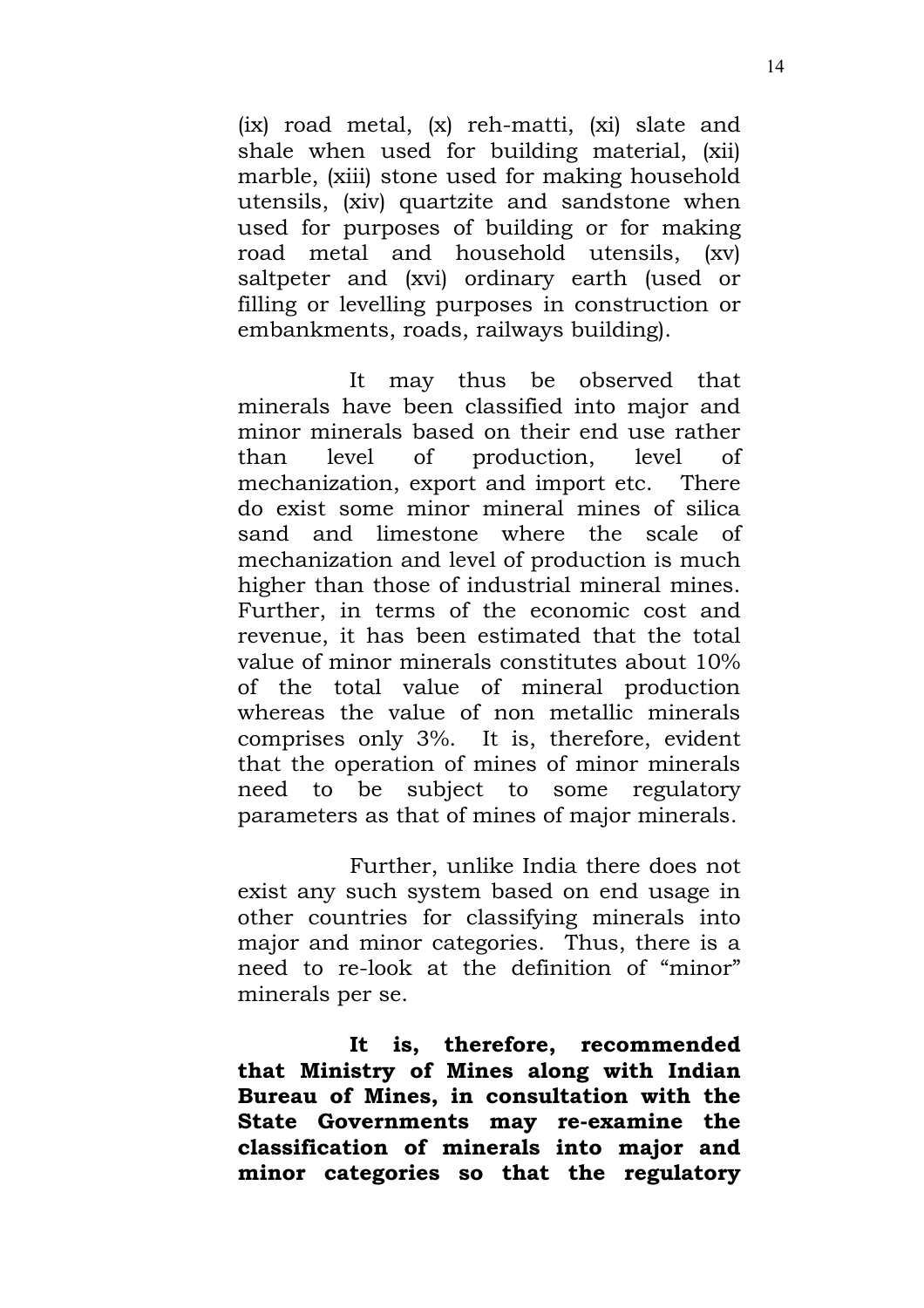(ix) road metal, (x) reh-matti, (xi) slate and shale when used for building material, (xii) marble, (xiii) stone used for making household utensils, (xiv) quartzite and sandstone when used for purposes of building or for making road metal and household utensils, (xv) saltpeter and (xvi) ordinary earth (used or filling or levelling purposes in construction or embankments, roads, railways building).

It may thus be observed that minerals have been classified into major and minor minerals based on their end use rather than level of production, level of mechanization, export and import etc. There do exist some minor mineral mines of silica sand and limestone where the scale of mechanization and level of production is much higher than those of industrial mineral mines. Further, in terms of the economic cost and revenue, it has been estimated that the total value of minor minerals constitutes about 10% of the total value of mineral production whereas the value of non metallic minerals comprises only 3%. It is, therefore, evident that the operation of mines of minor minerals need to be subject to some regulatory parameters as that of mines of major minerals.

Further, unlike India there does not exist any such system based on end usage in other countries for classifying minerals into major and minor categories. Thus, there is a need to re-look at the definition of "minor" minerals per se.

**It is, therefore, recommended that Ministry of Mines along with Indian Bureau of Mines, in consultation with the State Governments may re-examine the classification of minerals into major and minor categories so that the regulatory**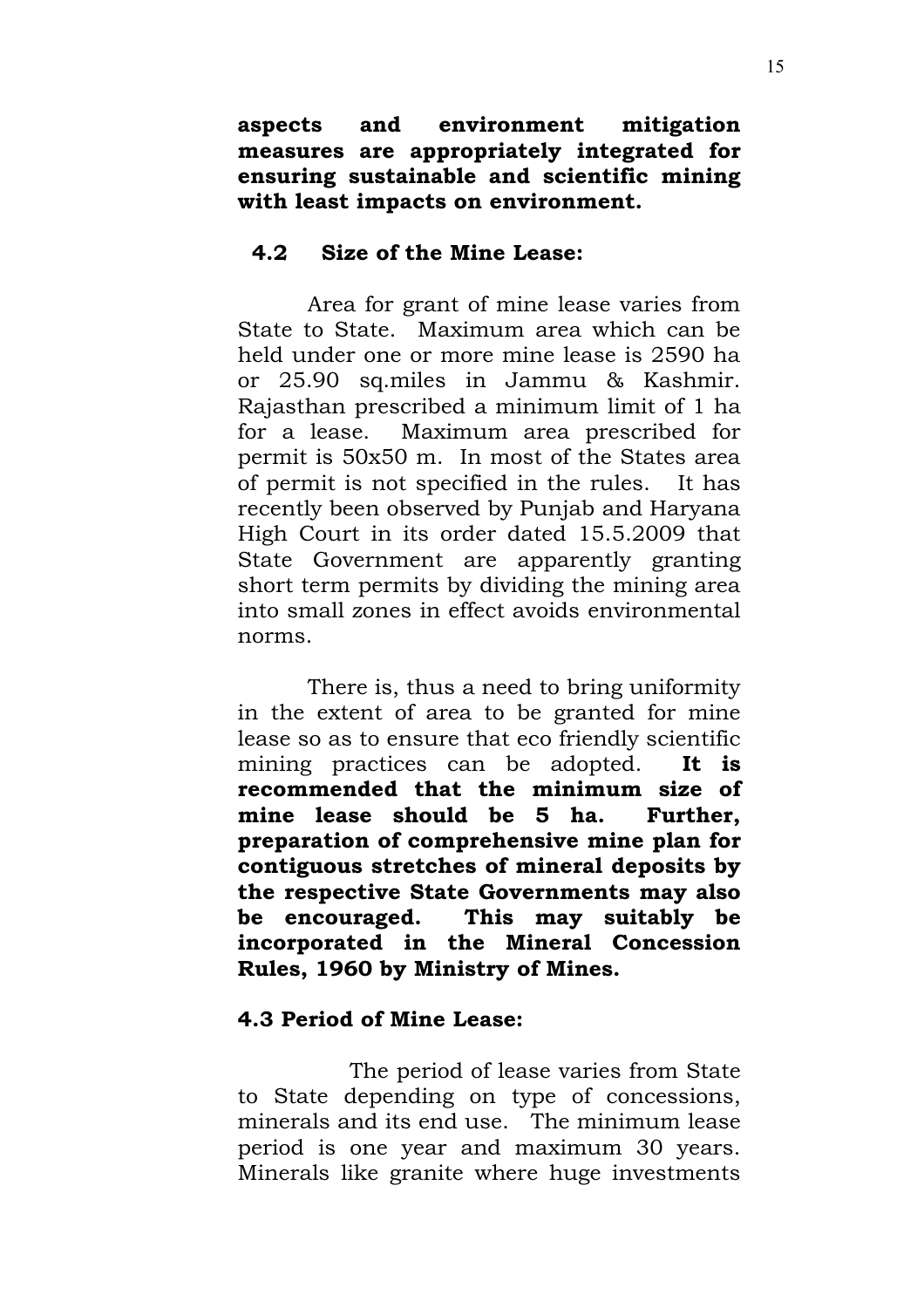**aspects and environment mitigation measures are appropriately integrated for ensuring sustainable and scientific mining with least impacts on environment.**

### **4.2 Size of the Mine Lease:**

Area for grant of mine lease varies from State to State. Maximum area which can be held under one or more mine lease is 2590 ha or 25.90 sq.miles in Jammu & Kashmir. Rajasthan prescribed a minimum limit of 1 ha for a lease. Maximum area prescribed for permit is 50x50 m. In most of the States area of permit is not specified in the rules. It has recently been observed by Punjab and Haryana High Court in its order dated 15.5.2009 that State Government are apparently granting short term permits by dividing the mining area into small zones in effect avoids environmental norms.

There is, thus a need to bring uniformity in the extent of area to be granted for mine lease so as to ensure that eco friendly scientific mining practices can be adopted. **It is recommended that the minimum size of mine lease should be 5 ha. Further, preparation of comprehensive mine plan for contiguous stretches of mineral deposits by the respective State Governments may also be encouraged. This may suitably be incorporated in the Mineral Concession Rules, 1960 by Ministry of Mines.**

# **4.3 Period of Mine Lease:**

The period of lease varies from State to State depending on type of concessions, minerals and its end use. The minimum lease period is one year and maximum 30 years. Minerals like granite where huge investments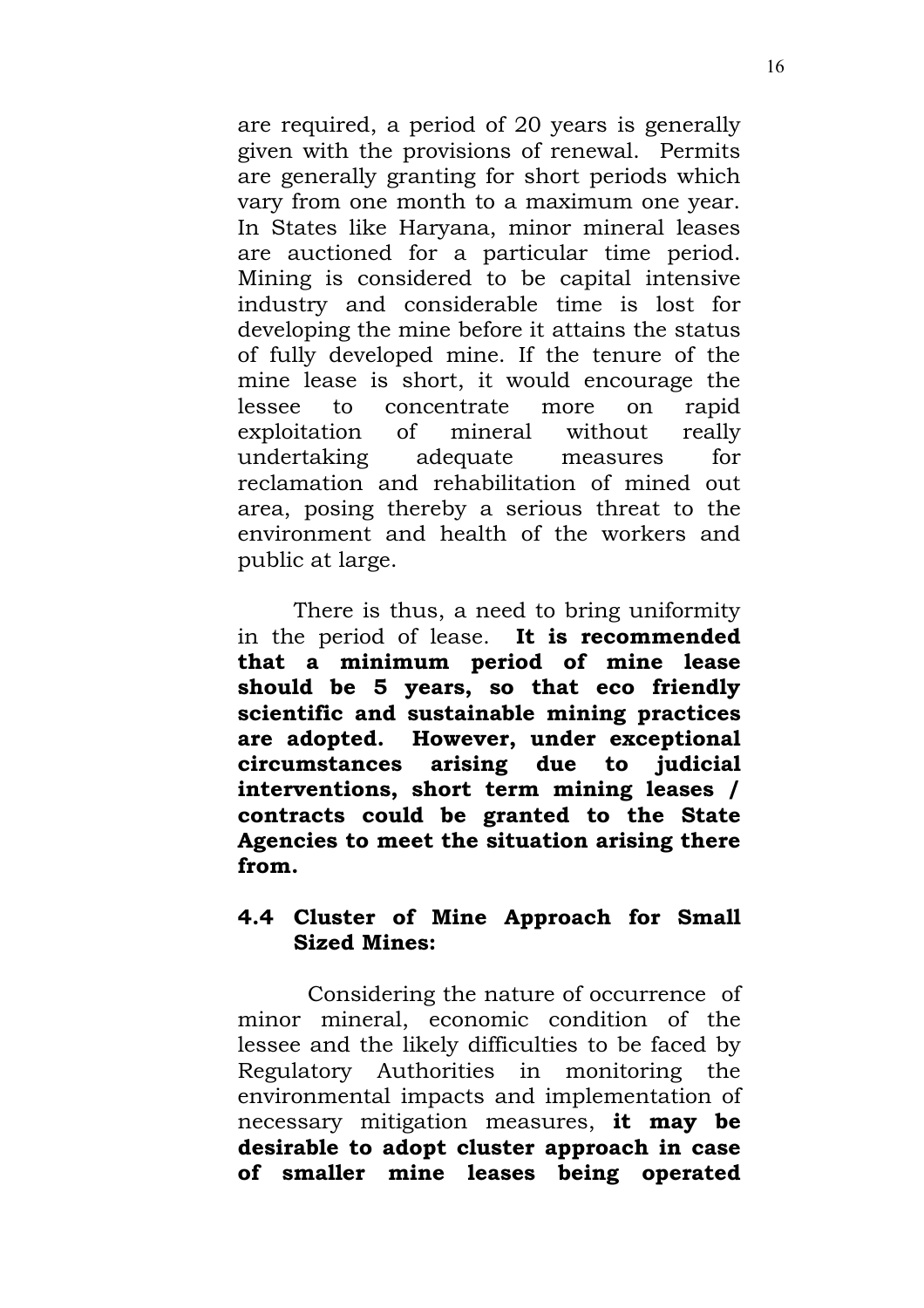are required, a period of 20 years is generally given with the provisions of renewal. Permits are generally granting for short periods which vary from one month to a maximum one year. In States like Haryana, minor mineral leases are auctioned for a particular time period. Mining is considered to be capital intensive industry and considerable time is lost for developing the mine before it attains the status of fully developed mine. If the tenure of the mine lease is short, it would encourage the lessee to concentrate more on rapid exploitation of mineral without really undertaking adequate measures for reclamation and rehabilitation of mined out area, posing thereby a serious threat to the environment and health of the workers and public at large.

There is thus, a need to bring uniformity in the period of lease. **It is recommended that a minimum period of mine lease should be 5 years, so that eco friendly scientific and sustainable mining practices are adopted. However, under exceptional circumstances arising due to judicial interventions, short term mining leases / contracts could be granted to the State Agencies to meet the situation arising there from.**

### **4.4 Cluster of Mine Approach for Small Sized Mines:**

Considering the nature of occurrence of minor mineral, economic condition of the lessee and the likely difficulties to be faced by Regulatory Authorities in monitoring the environmental impacts and implementation of necessary mitigation measures, **it may be desirable to adopt cluster approach in case of smaller mine leases being operated**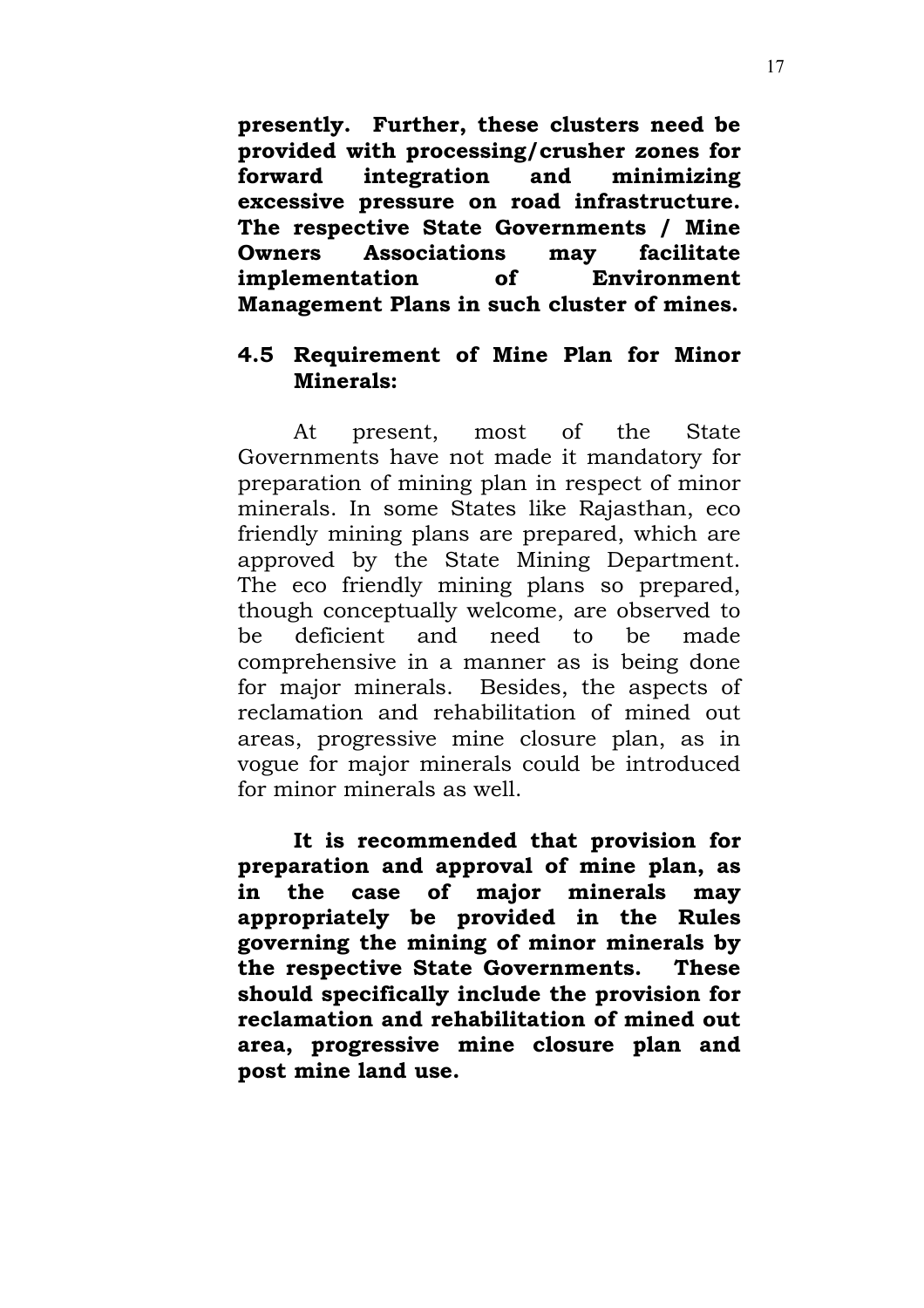**presently. Further, these clusters need be provided with processing/crusher zones for forward integration and minimizing excessive pressure on road infrastructure. The respective State Governments / Mine Owners Associations may facilitate implementation of Environment Management Plans in such cluster of mines.**

### **4.5 Requirement of Mine Plan for Minor Minerals:**

At present, most of the State Governments have not made it mandatory for preparation of mining plan in respect of minor minerals. In some States like Rajasthan, eco friendly mining plans are prepared, which are approved by the State Mining Department. The eco friendly mining plans so prepared, though conceptually welcome, are observed to be deficient and need to be made comprehensive in a manner as is being done for major minerals. Besides, the aspects of reclamation and rehabilitation of mined out areas, progressive mine closure plan, as in vogue for major minerals could be introduced for minor minerals as well.

**It is recommended that provision for preparation and approval of mine plan, as in the case of major minerals may appropriately be provided in the Rules governing the mining of minor minerals by the respective State Governments. These should specifically include the provision for reclamation and rehabilitation of mined out area, progressive mine closure plan and post mine land use.**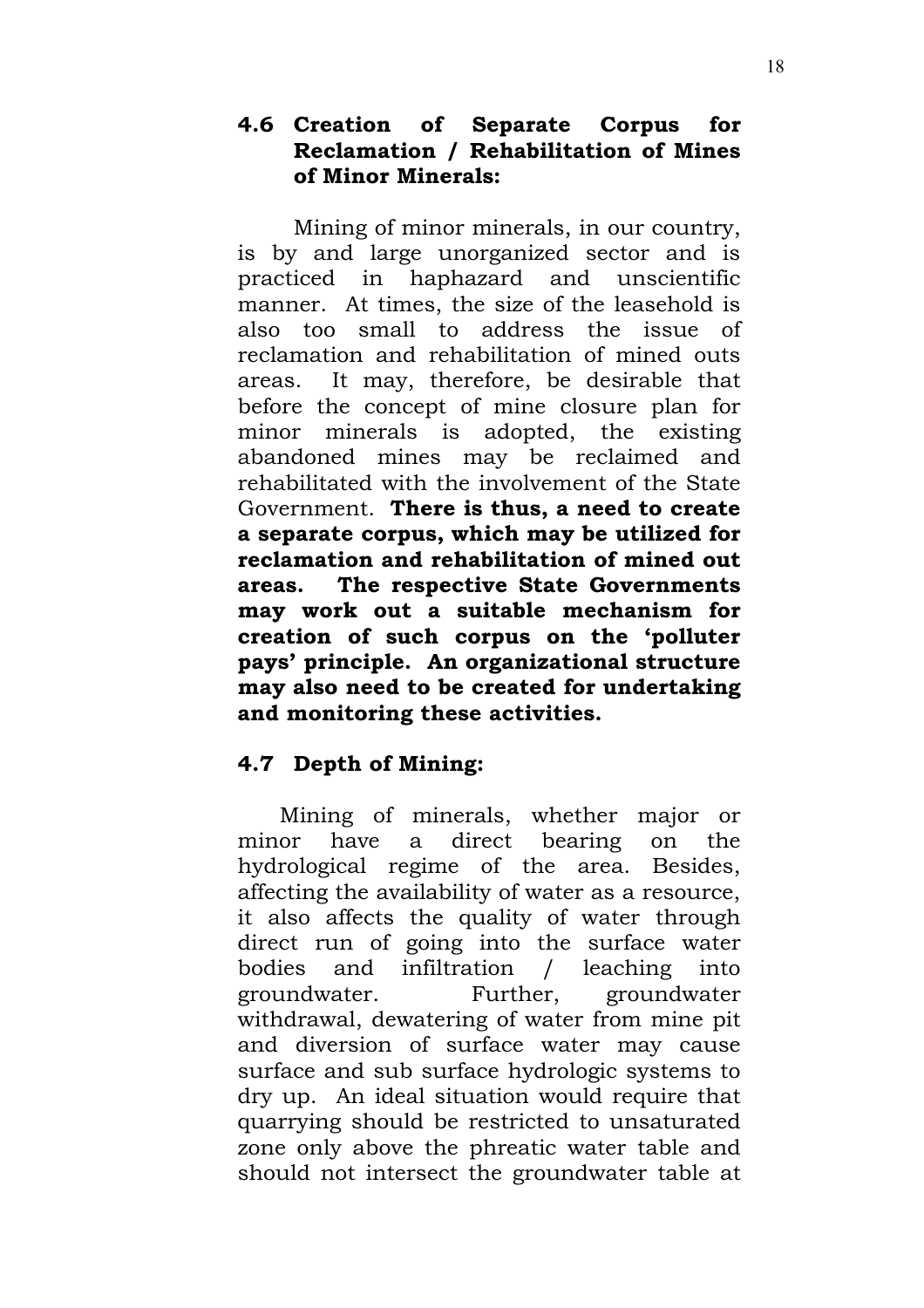# **4.6 Creation of Separate Corpus for Reclamation / Rehabilitation of Mines of Minor Minerals:**

Mining of minor minerals, in our country, is by and large unorganized sector and is practiced in haphazard and unscientific manner. At times, the size of the leasehold is also too small to address the issue of reclamation and rehabilitation of mined outs areas. It may, therefore, be desirable that before the concept of mine closure plan for minor minerals is adopted, the existing abandoned mines may be reclaimed and rehabilitated with the involvement of the State Government. **There is thus, a need to create a separate corpus, which may be utilized for reclamation and rehabilitation of mined out areas. The respective State Governments may work out a suitable mechanism for creation of such corpus on the 'polluter pays' principle. An organizational structure may also need to be created for undertaking and monitoring these activities.**

# **4.7 Depth of Mining:**

Mining of minerals, whether major or minor have a direct bearing on the hydrological regime of the area. Besides, affecting the availability of water as a resource, it also affects the quality of water through direct run of going into the surface water bodies and infiltration / leaching into groundwater. Further, groundwater withdrawal, dewatering of water from mine pit and diversion of surface water may cause surface and sub surface hydrologic systems to dry up. An ideal situation would require that quarrying should be restricted to unsaturated zone only above the phreatic water table and should not intersect the groundwater table at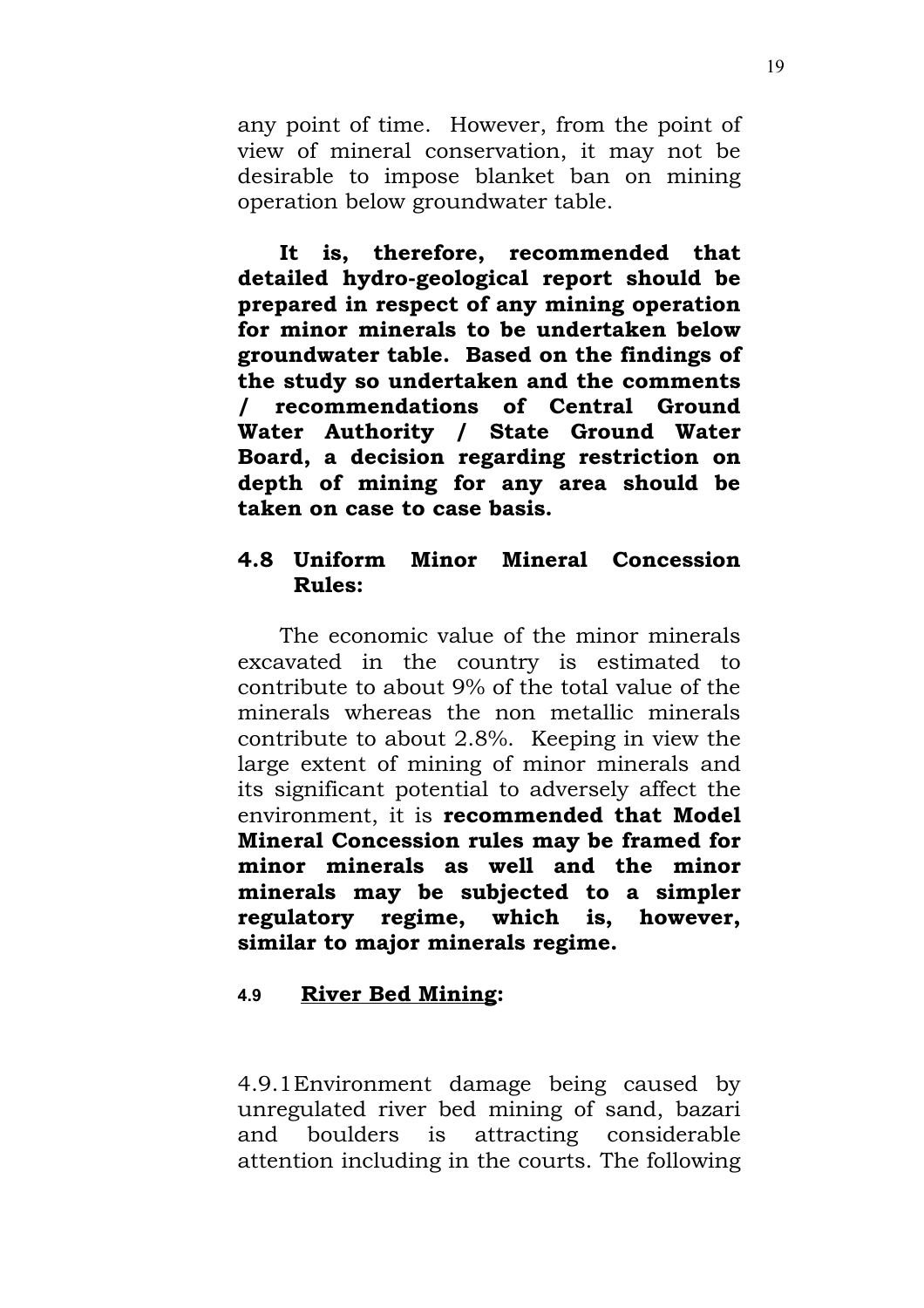any point of time. However, from the point of view of mineral conservation, it may not be desirable to impose blanket ban on mining operation below groundwater table.

**It is, therefore, recommended that detailed hydro-geological report should be prepared in respect of any mining operation for minor minerals to be undertaken below groundwater table. Based on the findings of the study so undertaken and the comments / recommendations of Central Ground Water Authority / State Ground Water Board, a decision regarding restriction on depth of mining for any area should be taken on case to case basis.**

# **4.8 Uniform Minor Mineral Concession Rules:**

The economic value of the minor minerals excavated in the country is estimated to contribute to about 9% of the total value of the minerals whereas the non metallic minerals contribute to about 2.8%. Keeping in view the large extent of mining of minor minerals and its significant potential to adversely affect the environment, it is **recommended that Model Mineral Concession rules may be framed for minor minerals as well and the minor minerals may be subjected to a simpler regulatory regime, which is, however, similar to major minerals regime.**

# **4.9 River Bed Mining:**

4.9.1Environment damage being caused by unregulated river bed mining of sand, bazari and boulders is attracting considerable attention including in the courts. The following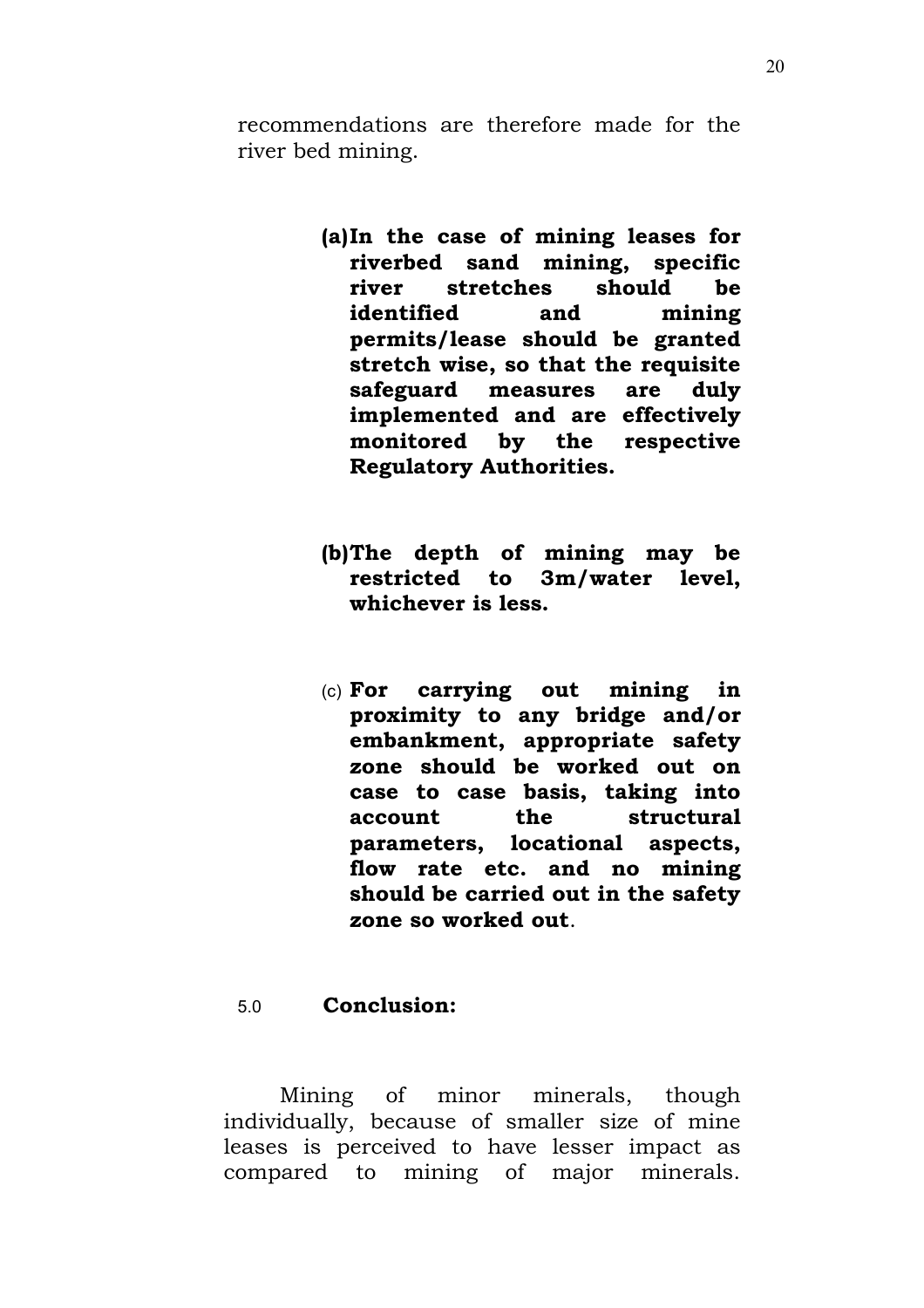recommendations are therefore made for the river bed mining.

- **(a)In the case of mining leases for riverbed sand mining, specific river stretches should be identified and mining permits/lease should be granted stretch wise, so that the requisite safeguard measures are duly implemented and are effectively monitored by the respective Regulatory Authorities.**
- **(b)The depth of mining may be restricted to 3m/water level, whichever is less.**
- (c) **For carrying out mining in proximity to any bridge and/or embankment, appropriate safety zone should be worked out on case to case basis, taking into account the structural parameters, locational aspects, flow rate etc. and no mining should be carried out in the safety zone so worked out**.

### 5.0 **Conclusion:**

Mining of minor minerals, though individually, because of smaller size of mine leases is perceived to have lesser impact as compared to mining of major minerals.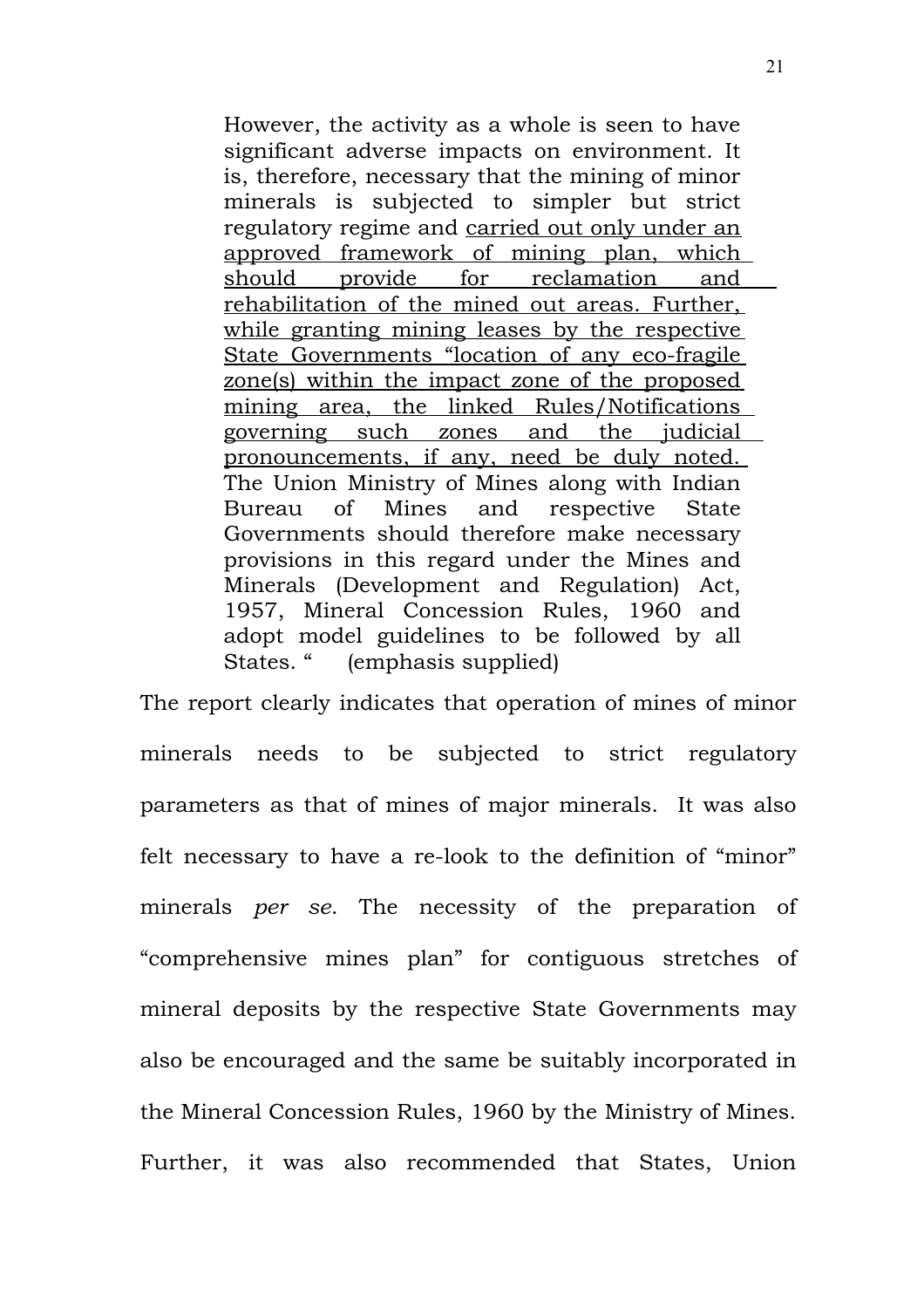However, the activity as a whole is seen to have significant adverse impacts on environment. It is, therefore, necessary that the mining of minor minerals is subjected to simpler but strict regulatory regime and carried out only under an approved framework of mining plan, which should provide for reclamation and rehabilitation of the mined out areas. Further, while granting mining leases by the respective State Governments "location of any eco-fragile zone(s) within the impact zone of the proposed mining area, the linked Rules/Notifications governing such zones and the judicial pronouncements, if any, need be duly noted. The Union Ministry of Mines along with Indian Bureau of Mines and respective State Governments should therefore make necessary provisions in this regard under the Mines and Minerals (Development and Regulation) Act, 1957, Mineral Concession Rules, 1960 and adopt model guidelines to be followed by all States. " (emphasis supplied)

The report clearly indicates that operation of mines of minor minerals needs to be subjected to strict regulatory parameters as that of mines of major minerals. It was also felt necessary to have a re-look to the definition of "minor" minerals *per se*. The necessity of the preparation of "comprehensive mines plan" for contiguous stretches of mineral deposits by the respective State Governments may also be encouraged and the same be suitably incorporated in the Mineral Concession Rules, 1960 by the Ministry of Mines. Further, it was also recommended that States, Union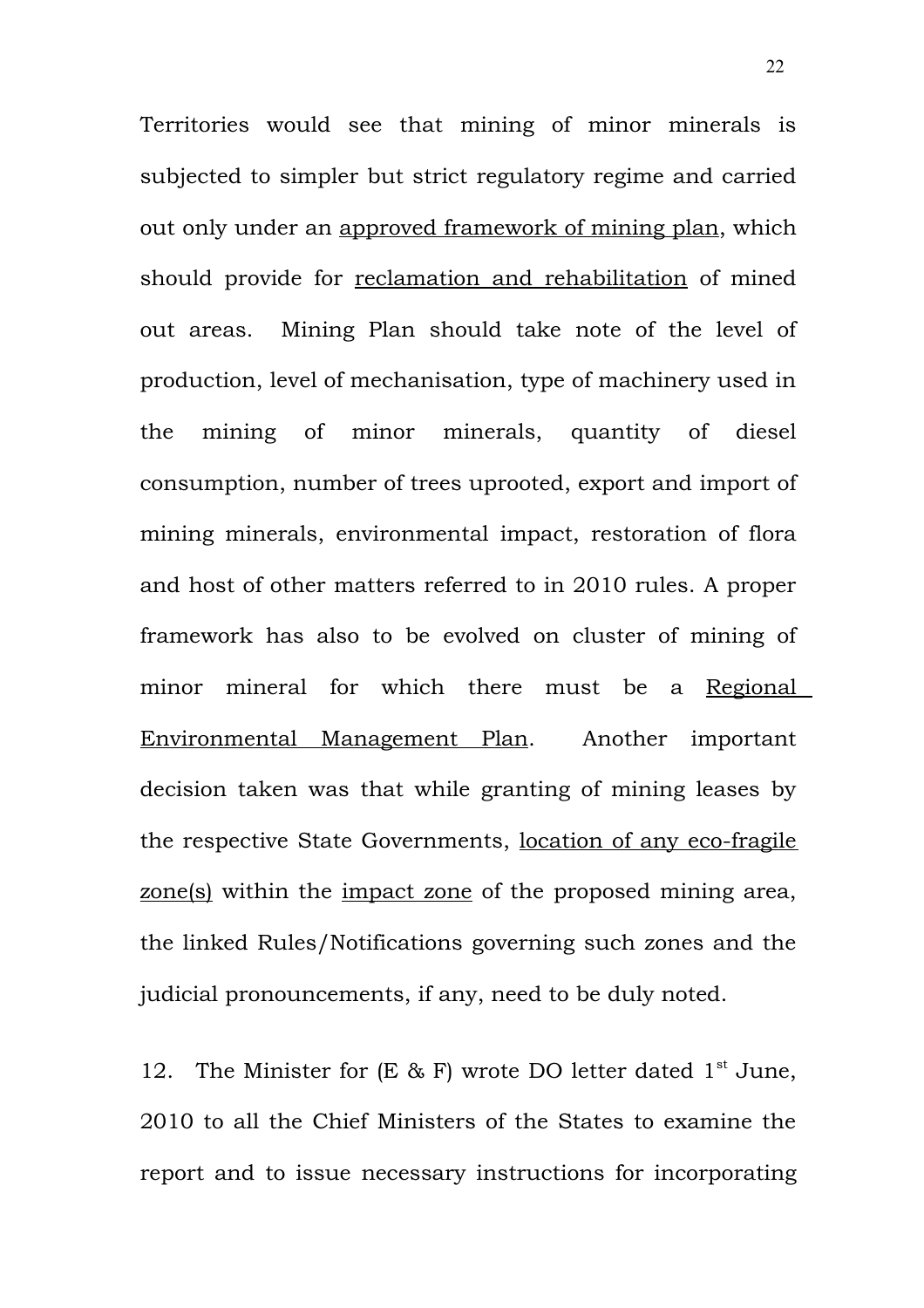Territories would see that mining of minor minerals is subjected to simpler but strict regulatory regime and carried out only under an approved framework of mining plan, which should provide for reclamation and rehabilitation of mined out areas. Mining Plan should take note of the level of production, level of mechanisation, type of machinery used in the mining of minor minerals, quantity of diesel consumption, number of trees uprooted, export and import of mining minerals, environmental impact, restoration of flora and host of other matters referred to in 2010 rules. A proper framework has also to be evolved on cluster of mining of minor mineral for which there must be a Regional Environmental Management Plan. Another important decision taken was that while granting of mining leases by the respective State Governments, location of any eco-fragile zone(s) within the impact zone of the proposed mining area, the linked Rules/Notifications governing such zones and the judicial pronouncements, if any, need to be duly noted.

12. The Minister for  $(E & F)$  wrote DO letter dated 1<sup>st</sup> June, 2010 to all the Chief Ministers of the States to examine the report and to issue necessary instructions for incorporating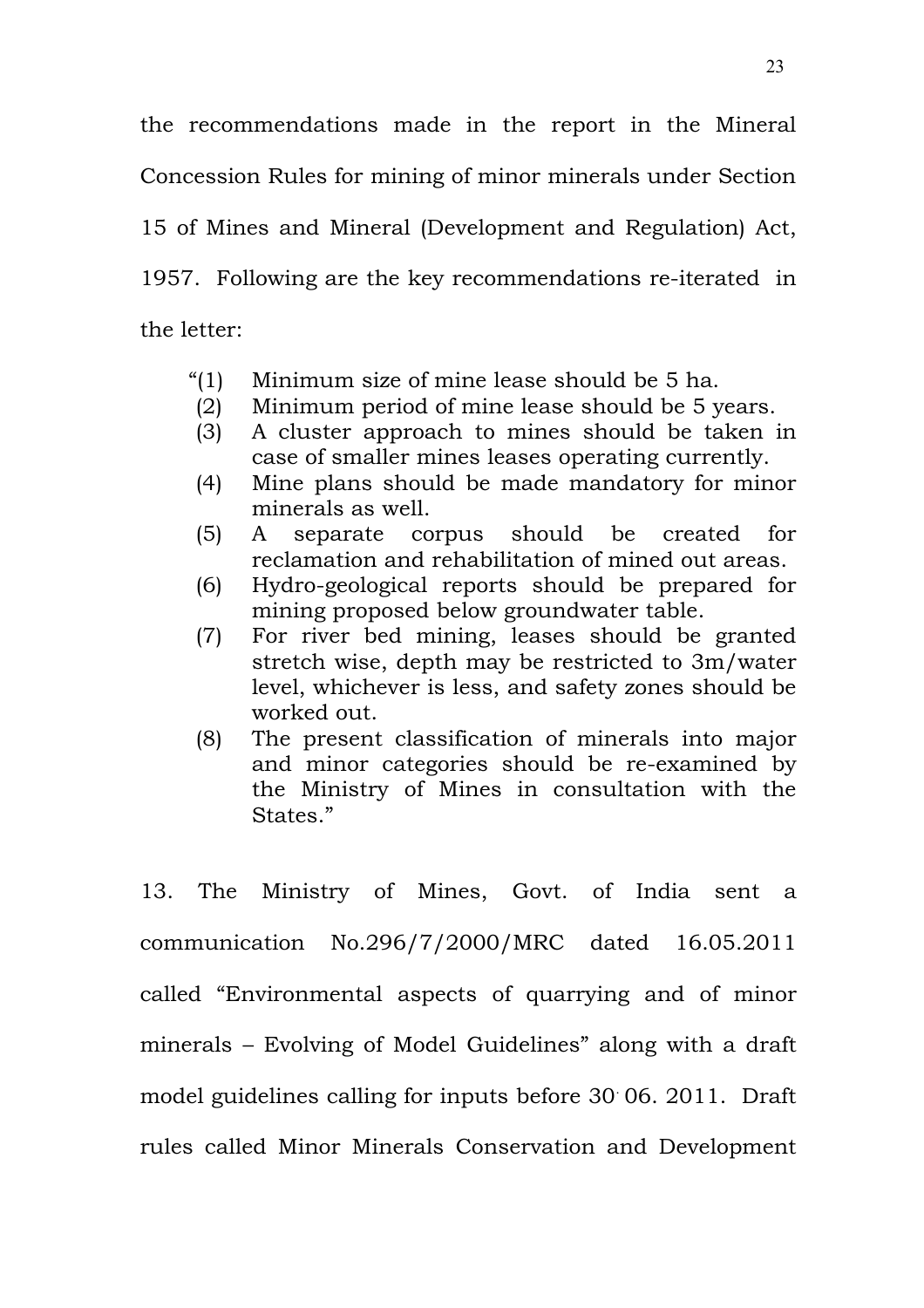the recommendations made in the report in the Mineral Concession Rules for mining of minor minerals under Section 15 of Mines and Mineral (Development and Regulation) Act, 1957. Following are the key recommendations re-iterated in the letter:

- "(1) Minimum size of mine lease should be 5 ha.
- (2) Minimum period of mine lease should be 5 years.
- (3) A cluster approach to mines should be taken in case of smaller mines leases operating currently.
- (4) Mine plans should be made mandatory for minor minerals as well.
- (5) A separate corpus should be created for reclamation and rehabilitation of mined out areas.
- (6) Hydro-geological reports should be prepared for mining proposed below groundwater table.
- (7) For river bed mining, leases should be granted stretch wise, depth may be restricted to 3m/water level, whichever is less, and safety zones should be worked out.
- (8) The present classification of minerals into major and minor categories should be re-examined by the Ministry of Mines in consultation with the States."

13. The Ministry of Mines, Govt. of India sent a communication No.296/7/2000/MRC dated 16.05.2011 called "Environmental aspects of quarrying and of minor minerals – Evolving of Model Guidelines" along with a draft model guidelines calling for inputs before 30 . 06. 2011. Draft rules called Minor Minerals Conservation and Development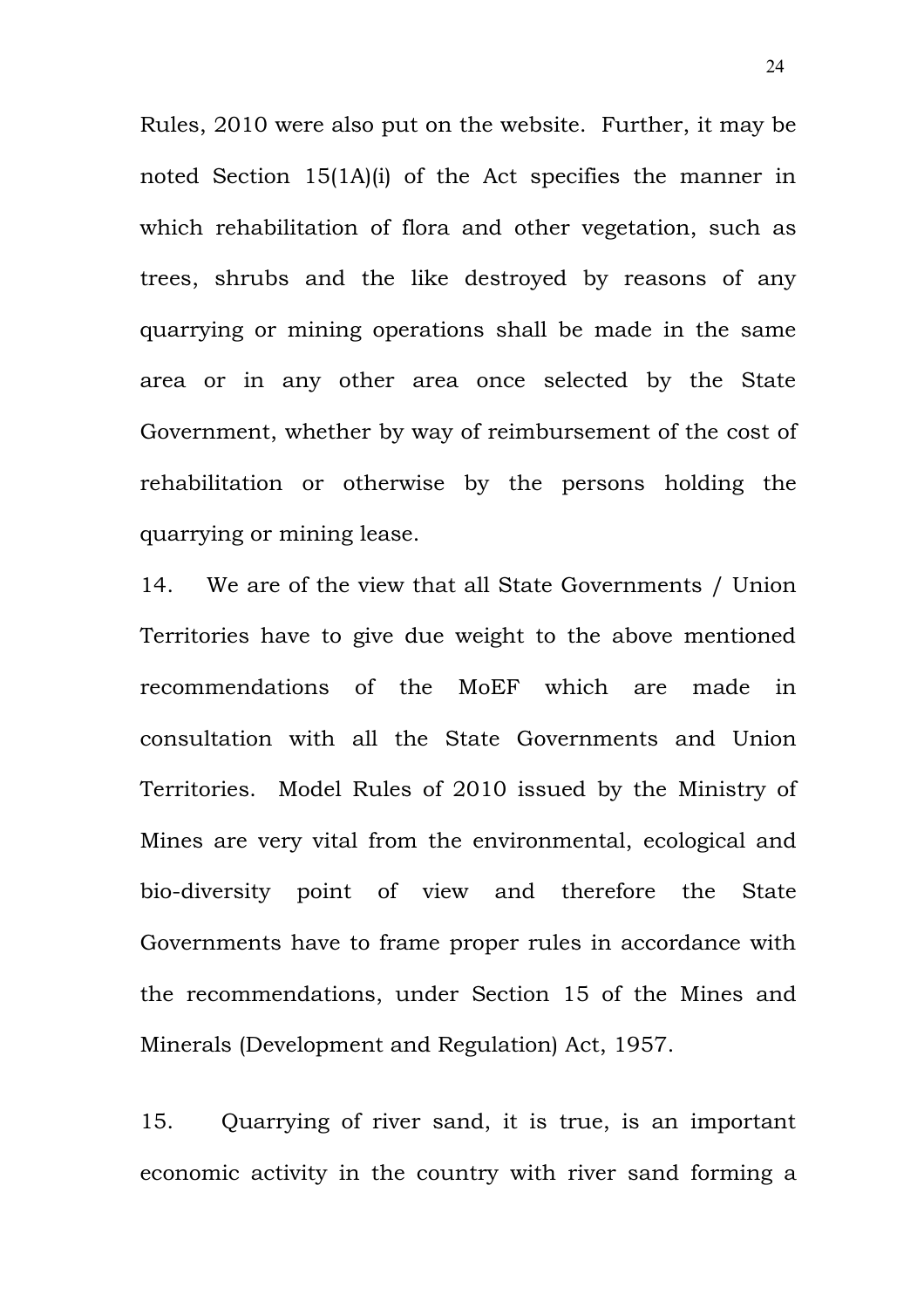Rules, 2010 were also put on the website. Further, it may be noted Section 15(1A)(i) of the Act specifies the manner in which rehabilitation of flora and other vegetation, such as trees, shrubs and the like destroyed by reasons of any quarrying or mining operations shall be made in the same area or in any other area once selected by the State Government, whether by way of reimbursement of the cost of rehabilitation or otherwise by the persons holding the quarrying or mining lease.

14. We are of the view that all State Governments / Union Territories have to give due weight to the above mentioned recommendations of the MoEF which are made in consultation with all the State Governments and Union Territories. Model Rules of 2010 issued by the Ministry of Mines are very vital from the environmental, ecological and bio-diversity point of view and therefore the State Governments have to frame proper rules in accordance with the recommendations, under Section 15 of the Mines and Minerals (Development and Regulation) Act, 1957.

15. Quarrying of river sand, it is true, is an important economic activity in the country with river sand forming a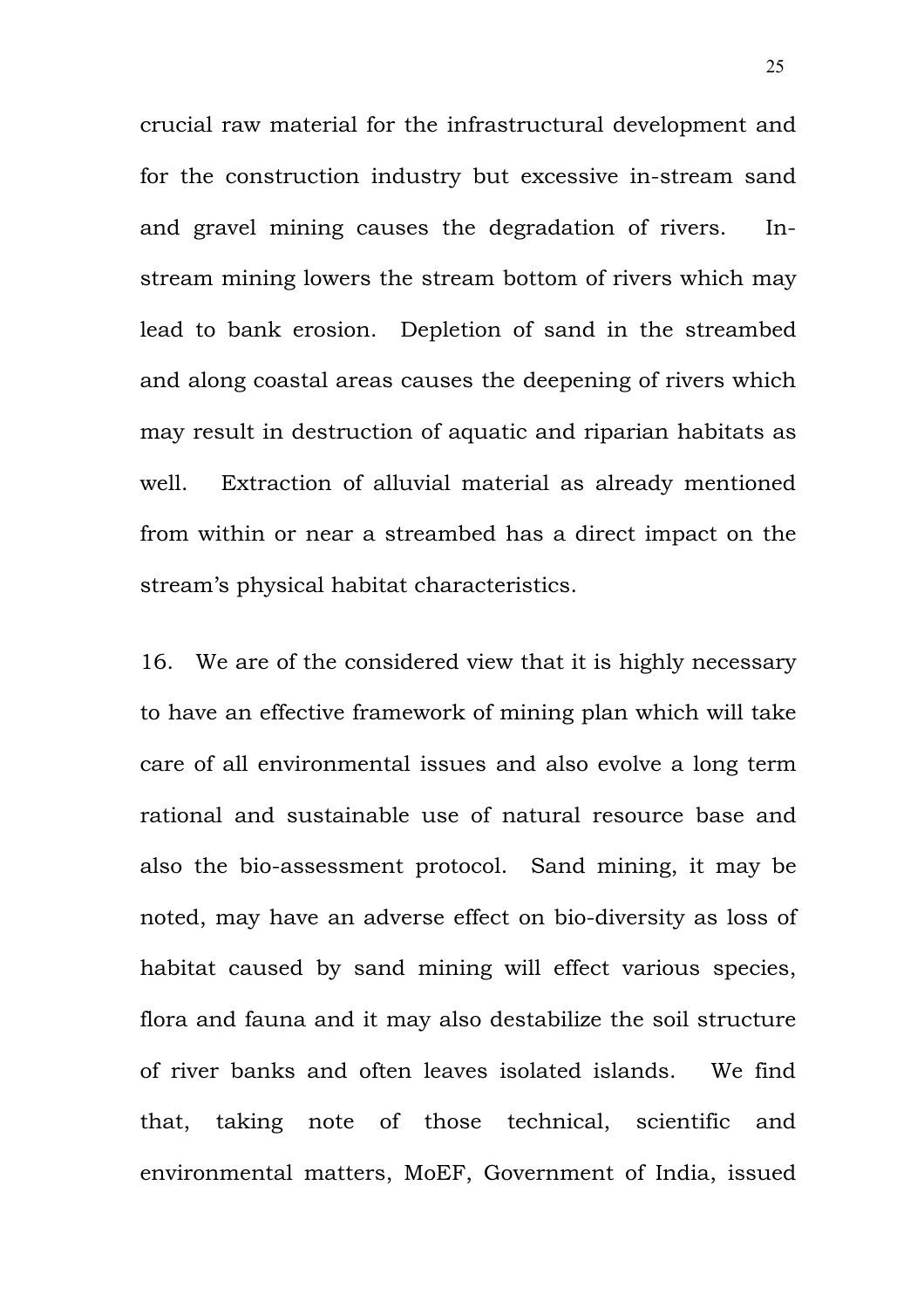crucial raw material for the infrastructural development and for the construction industry but excessive in-stream sand and gravel mining causes the degradation of rivers. Instream mining lowers the stream bottom of rivers which may lead to bank erosion. Depletion of sand in the streambed and along coastal areas causes the deepening of rivers which may result in destruction of aquatic and riparian habitats as well. Extraction of alluvial material as already mentioned from within or near a streambed has a direct impact on the stream's physical habitat characteristics.

16. We are of the considered view that it is highly necessary to have an effective framework of mining plan which will take care of all environmental issues and also evolve a long term rational and sustainable use of natural resource base and also the bio-assessment protocol. Sand mining, it may be noted, may have an adverse effect on bio-diversity as loss of habitat caused by sand mining will effect various species, flora and fauna and it may also destabilize the soil structure of river banks and often leaves isolated islands. We find that, taking note of those technical, scientific and environmental matters, MoEF, Government of India, issued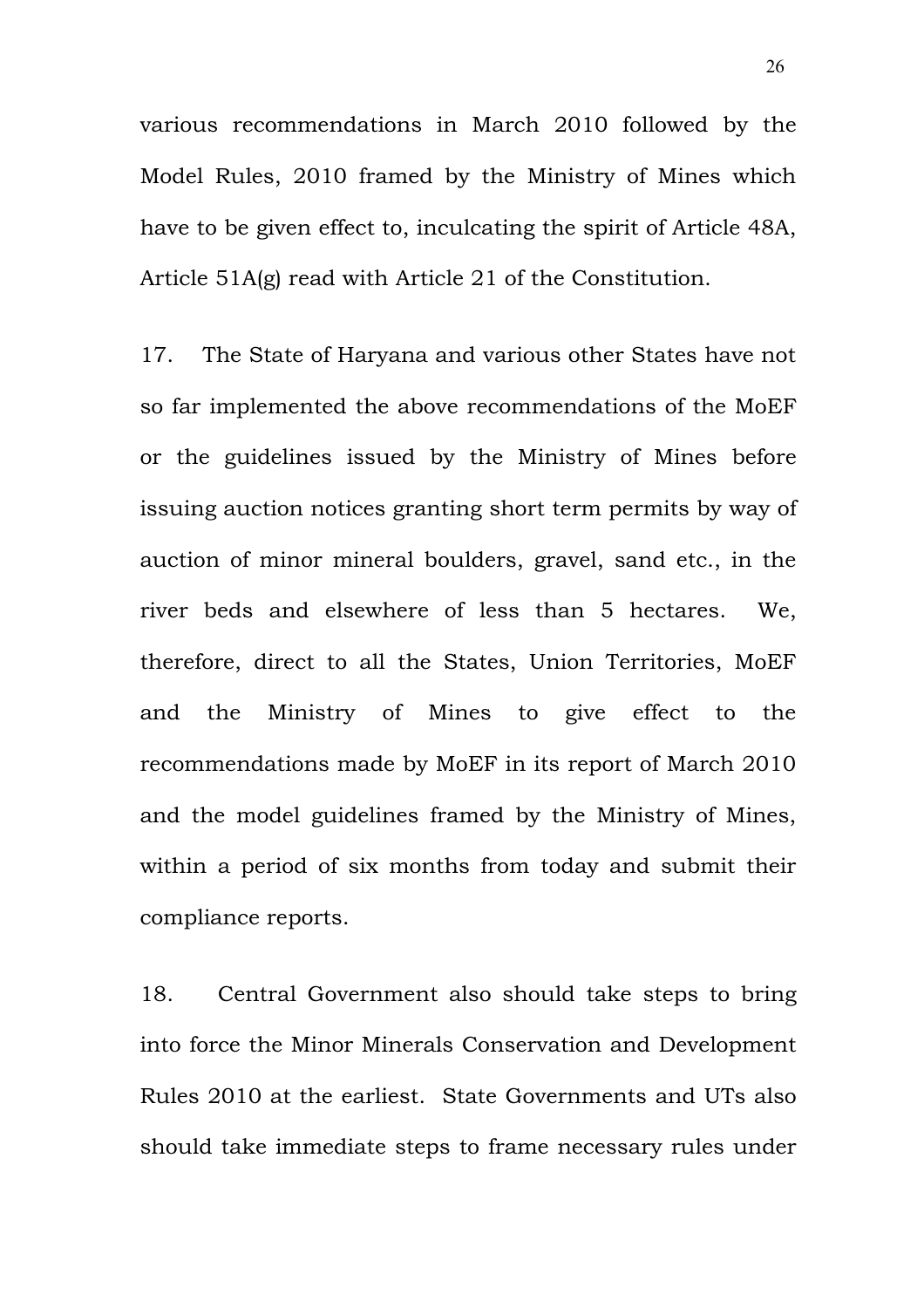various recommendations in March 2010 followed by the Model Rules, 2010 framed by the Ministry of Mines which have to be given effect to, inculcating the spirit of Article 48A, Article 51A(g) read with Article 21 of the Constitution.

17. The State of Haryana and various other States have not so far implemented the above recommendations of the MoEF or the guidelines issued by the Ministry of Mines before issuing auction notices granting short term permits by way of auction of minor mineral boulders, gravel, sand etc., in the river beds and elsewhere of less than 5 hectares. We, therefore, direct to all the States, Union Territories, MoEF and the Ministry of Mines to give effect to the recommendations made by MoEF in its report of March 2010 and the model guidelines framed by the Ministry of Mines, within a period of six months from today and submit their compliance reports.

18. Central Government also should take steps to bring into force the Minor Minerals Conservation and Development Rules 2010 at the earliest. State Governments and UTs also should take immediate steps to frame necessary rules under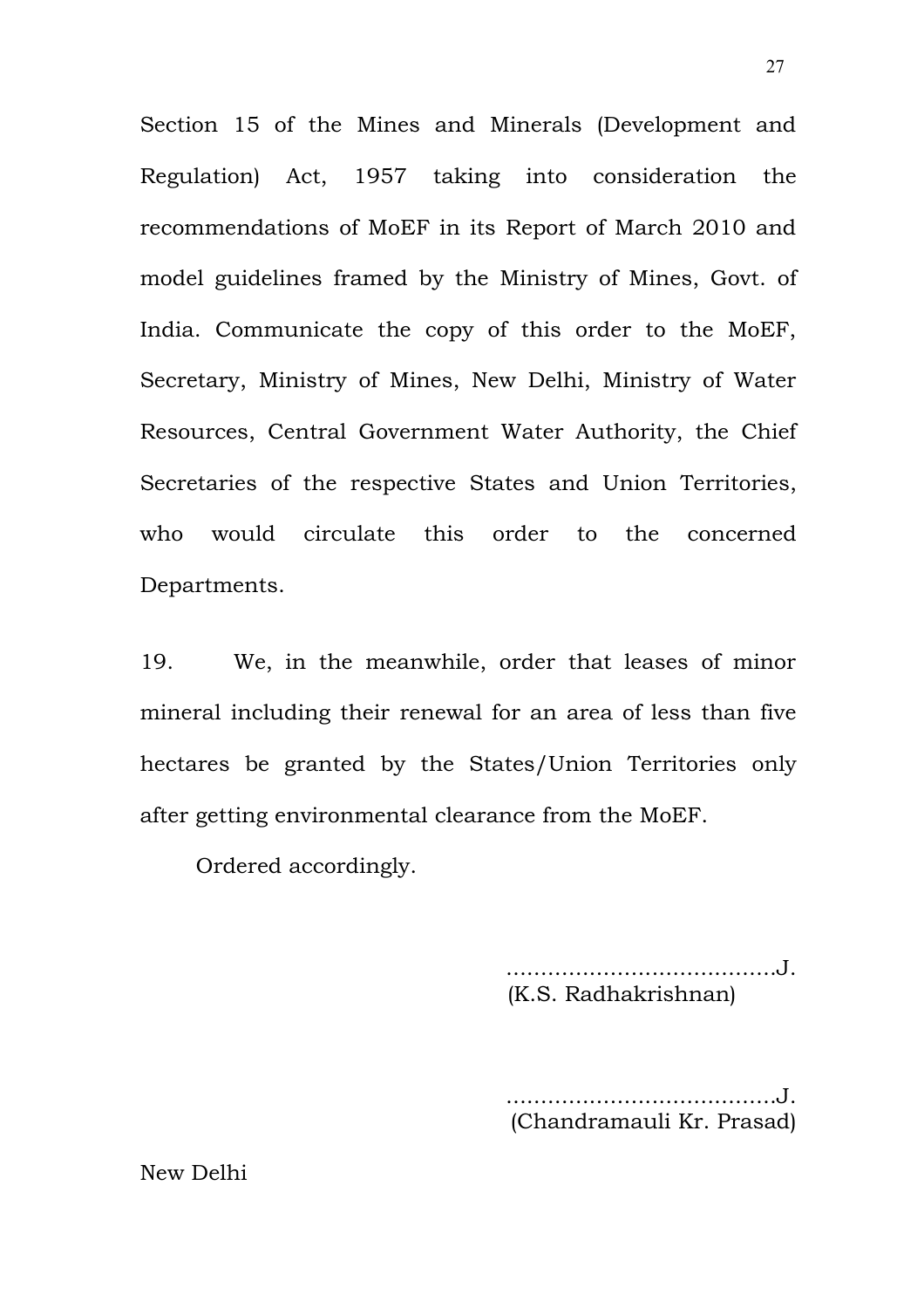Section 15 of the Mines and Minerals (Development and Regulation) Act, 1957 taking into consideration the recommendations of MoEF in its Report of March 2010 and model guidelines framed by the Ministry of Mines, Govt. of India. Communicate the copy of this order to the MoEF, Secretary, Ministry of Mines, New Delhi, Ministry of Water Resources, Central Government Water Authority, the Chief Secretaries of the respective States and Union Territories, who would circulate this order to the concerned Departments.

19. We, in the meanwhile, order that leases of minor mineral including their renewal for an area of less than five hectares be granted by the States/Union Territories only after getting environmental clearance from the MoEF.

Ordered accordingly.

.......................................J. (K.S. Radhakrishnan)

....................................J. (Chandramauli Kr. Prasad)

New Delhi